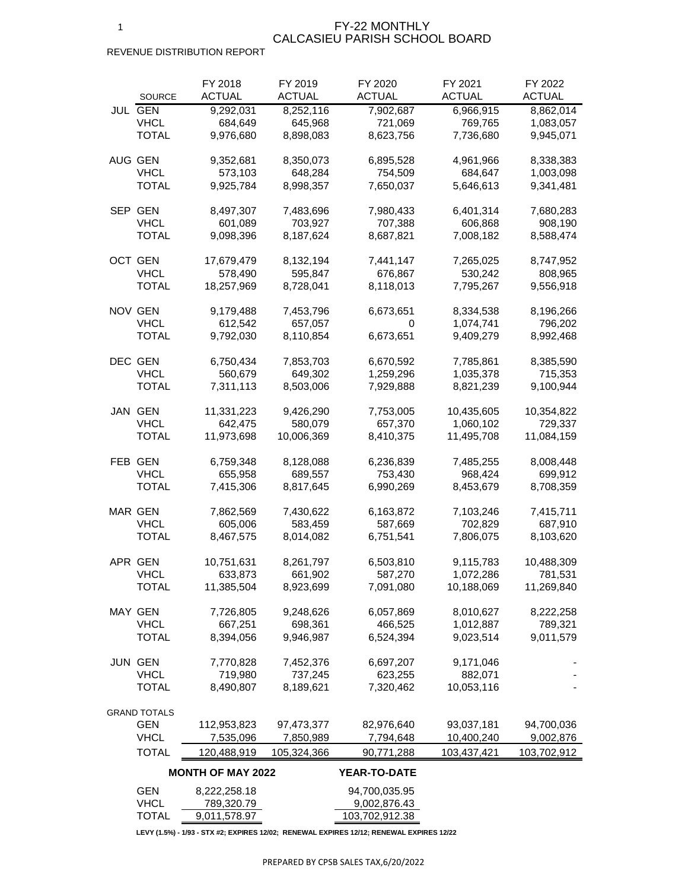#### FY-22 MONTHLY CALCASIEU PARISH SCHOOL BOARD

## REVENUE DISTRIBUTION REPORT

|      | <b>SOURCE</b>                 | FY 2018<br><b>ACTUAL</b>   | FY 2019<br><b>ACTUAL</b> | FY 2020<br><b>ACTUAL</b>      | FY 2021<br><b>ACTUAL</b> | FY 2022<br><b>ACTUAL</b> |
|------|-------------------------------|----------------------------|--------------------------|-------------------------------|--------------------------|--------------------------|
|      | <b>JUL GEN</b><br><b>VHCL</b> | 9,292,031<br>684,649       | 8,252,116<br>645,968     | 7,902,687<br>721,069          | 6,966,915<br>769,765     | 8,862,014<br>1,083,057   |
|      | TOTAL                         | 9,976,680                  | 8,898,083                | 8,623,756                     | 7,736,680                | 9,945,071                |
|      | AUG GEN                       | 9,352,681                  | 8,350,073                | 6,895,528                     | 4,961,966                | 8,338,383                |
|      | <b>VHCL</b><br><b>TOTAL</b>   | 573,103<br>9,925,784       | 648,284<br>8,998,357     | 754,509<br>7,650,037          | 684,647<br>5,646,613     | 1,003,098<br>9,341,481   |
|      |                               |                            |                          |                               |                          |                          |
| SEP. | <b>GEN</b><br><b>VHCL</b>     | 8,497,307<br>601,089       | 7,483,696<br>703,927     | 7,980,433<br>707,388          | 6,401,314<br>606,868     | 7,680,283<br>908,190     |
|      | <b>TOTAL</b>                  | 9,098,396                  | 8,187,624                | 8,687,821                     | 7,008,182                | 8,588,474                |
|      | OCT GEN                       | 17,679,479                 | 8,132,194                | 7,441,147                     | 7,265,025                | 8,747,952                |
|      | <b>VHCL</b>                   | 578,490                    | 595,847                  | 676,867                       | 530,242                  | 808,965                  |
|      | TOTAL                         | 18,257,969                 | 8,728,041                | 8,118,013                     | 7,795,267                | 9,556,918                |
|      | <b>NOV GEN</b>                | 9,179,488                  | 7,453,796                | 6,673,651                     | 8,334,538                | 8,196,266                |
|      | <b>VHCL</b><br>TOTAL          | 612,542<br>9,792,030       | 657,057<br>8,110,854     | 0<br>6,673,651                | 1,074,741<br>9,409,279   | 796,202<br>8,992,468     |
|      |                               |                            |                          |                               |                          |                          |
|      | <b>DEC GEN</b>                | 6,750,434                  | 7,853,703                | 6,670,592                     | 7,785,861                | 8,385,590                |
|      | <b>VHCL</b><br><b>TOTAL</b>   | 560,679                    | 649,302                  | 1,259,296                     | 1,035,378                | 715,353                  |
|      |                               | 7,311,113                  | 8,503,006                | 7,929,888                     | 8,821,239                | 9,100,944                |
|      | <b>JAN GEN</b>                | 11,331,223                 | 9,426,290                | 7,753,005                     | 10,435,605               | 10,354,822               |
|      | <b>VHCL</b>                   | 642,475                    | 580,079                  | 657,370                       | 1,060,102                | 729,337                  |
|      | <b>TOTAL</b>                  | 11,973,698                 | 10,006,369               | 8,410,375                     | 11,495,708               | 11,084,159               |
|      | FEB GEN                       | 6,759,348                  | 8,128,088                | 6,236,839                     | 7,485,255                | 8,008,448                |
|      | <b>VHCL</b>                   | 655,958                    | 689,557                  | 753,430                       | 968,424                  | 699,912                  |
|      | <b>TOTAL</b>                  | 7,415,306                  | 8,817,645                | 6,990,269                     | 8,453,679                | 8,708,359                |
|      | <b>MAR GEN</b>                | 7,862,569                  | 7,430,622                | 6,163,872                     | 7,103,246                | 7,415,711                |
|      | <b>VHCL</b>                   | 605,006                    | 583,459                  | 587,669                       | 702,829                  | 687,910                  |
|      | <b>TOTAL</b>                  | 8,467,575                  | 8,014,082                | 6,751,541                     | 7,806,075                | 8,103,620                |
|      | APR GEN                       | 10,751,631                 | 8,261,797                | 6,503,810                     | 9,115,783                | 10,488,309               |
|      | <b>VHCL</b>                   | 633,873                    | 661,902                  | 587,270                       | 1,072,286                | 781,531                  |
|      | <b>TOTAL</b>                  | 11,385,504                 | 8,923,699                | 7,091,080                     | 10,188,069               | 11,269,840               |
|      | <b>MAY GEN</b>                | 7,726,805                  | 9,248,626                | 6,057,869                     | 8,010,627                | 8,222,258                |
|      | <b>VHCL</b>                   | 667,251                    | 698,361                  | 466,525                       | 1,012,887                | 789,321                  |
|      | <b>TOTAL</b>                  | 8,394,056                  | 9,946,987                | 6,524,394                     | 9,023,514                | 9,011,579                |
|      | <b>JUN GEN</b>                | 7,770,828                  | 7,452,376                | 6,697,207                     | 9,171,046                |                          |
|      | <b>VHCL</b>                   | 719,980                    | 737,245                  | 623,255                       | 882,071                  |                          |
|      | <b>TOTAL</b>                  | 8,490,807                  | 8,189,621                | 7,320,462                     | 10,053,116               |                          |
|      | <b>GRAND TOTALS</b>           |                            |                          |                               |                          |                          |
|      | <b>GEN</b>                    | 112,953,823                | 97,473,377               | 82,976,640                    | 93,037,181               | 94,700,036               |
|      | <b>VHCL</b>                   | 7,535,096                  | 7,850,989                | 7,794,648                     | 10,400,240               | 9,002,876                |
|      | <b>TOTAL</b>                  | 120,488,919                | 105,324,366              | 90,771,288                    | 103,437,421              | 103,702,912              |
|      |                               | <b>MONTH OF MAY 2022</b>   |                          | <b>YEAR-TO-DATE</b>           |                          |                          |
|      | <b>GEN</b><br><b>VHCL</b>     | 8,222,258.18<br>789,320.79 |                          | 94,700,035.95<br>9,002,876.43 |                          |                          |
|      | <b>TOTAL</b>                  | 9,011,578.97               |                          | 103,702,912.38                |                          |                          |

**LEVY (1.5%) - 1/93 - STX #2; EXPIRES 12/02; RENEWAL EXPIRES 12/12; RENEWAL EXPIRES 12/22**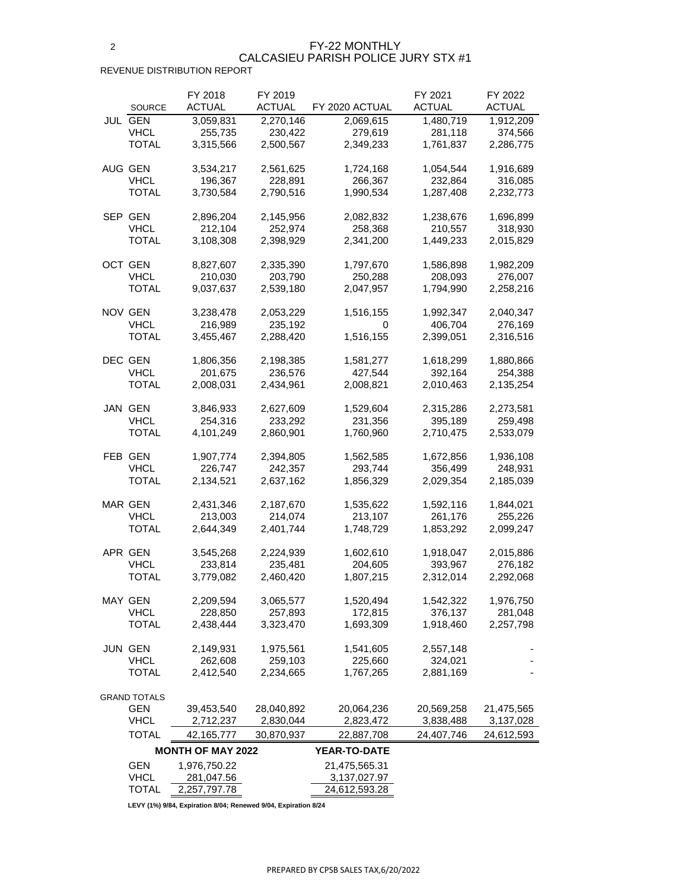### FY-22 MONTHLY CALCASIEU PARISH POLICE JURY STX #1

REVENUE DISTRIBUTION REPORT

| <b>SOURCE</b>               | FY 2018<br><b>ACTUAL</b> | FY 2019<br><b>ACTUAL</b> | FY 2020 ACTUAL       | FY 2021<br><b>ACTUAL</b> | FY 2022<br><b>ACTUAL</b> |
|-----------------------------|--------------------------|--------------------------|----------------------|--------------------------|--------------------------|
| <b>JUL GEN</b>              | 3,059,831                | 2,270,146                | 2,069,615            | 1,480,719                | 1,912,209                |
| VHCL                        | 255,735                  | 230,422                  | 279,619              | 281,118                  | 374,566                  |
| <b>TOTAL</b>                | 3,315,566                | 2,500,567                | 2,349,233            | 1,761,837                | 2,286,775                |
|                             |                          |                          |                      |                          |                          |
| AUG GEN                     | 3,534,217                | 2,561,625                | 1,724,168            | 1,054,544                | 1,916,689                |
| <b>VHCL</b>                 | 196,367                  | 228,891                  | 266,367              | 232,864                  | 316,085                  |
| <b>TOTAL</b>                | 3,730,584                | 2,790,516                | 1,990,534            | 1,287,408                | 2,232,773                |
|                             |                          |                          |                      |                          |                          |
| SEP GEN                     | 2,896,204                | 2,145,956                | 2,082,832            | 1,238,676                | 1,696,899                |
| <b>VHCL</b>                 | 212,104                  | 252,974                  | 258,368              | 210,557                  | 318,930                  |
| TOTAL                       | 3,108,308                | 2,398,929                | 2,341,200            | 1,449,233                | 2,015,829                |
|                             |                          |                          |                      |                          |                          |
| OCT GEN                     | 8,827,607                | 2,335,390                | 1,797,670            | 1,586,898                | 1,982,209                |
| <b>VHCL</b>                 | 210,030                  | 203,790                  | 250,288              | 208,093                  | 276,007                  |
| TOTAL                       | 9,037,637                | 2,539,180                | 2,047,957            | 1,794,990                | 2,258,216                |
|                             |                          |                          |                      |                          |                          |
| NOV GEN                     | 3,238,478                | 2,053,229                | 1,516,155            | 1,992,347                | 2,040,347                |
| <b>VHCL</b>                 | 216,989                  | 235,192                  | 0                    | 406,704                  | 276,169                  |
| TOTAL                       | 3,455,467                | 2,288,420                | 1,516,155            | 2,399,051                | 2,316,516                |
|                             |                          |                          |                      |                          |                          |
| DEC GEN                     | 1,806,356                | 2,198,385                | 1,581,277            | 1,618,299                | 1,880,866                |
| <b>VHCL</b>                 | 201,675                  | 236,576                  | 427,544              | 392,164                  | 254,388                  |
| <b>TOTAL</b>                | 2,008,031                | 2,434,961                | 2,008,821            | 2,010,463                | 2,135,254                |
| JAN GEN                     | 3,846,933                | 2,627,609                | 1,529,604            | 2,315,286                | 2,273,581                |
| <b>VHCL</b>                 | 254,316                  | 233,292                  | 231,356              | 395,189                  | 259,498                  |
| <b>TOTAL</b>                | 4,101,249                | 2,860,901                | 1,760,960            | 2,710,475                | 2,533,079                |
|                             |                          |                          |                      |                          |                          |
| FEB GEN                     | 1,907,774                | 2,394,805                | 1,562,585            | 1,672,856                | 1,936,108                |
| <b>VHCL</b>                 | 226,747                  | 242,357                  | 293,744              | 356,499                  | 248,931                  |
| <b>TOTAL</b>                | 2,134,521                | 2,637,162                | 1,856,329            | 2,029,354                | 2,185,039                |
|                             |                          |                          |                      |                          |                          |
| <b>MAR GEN</b>              | 2,431,346                | 2,187,670                | 1,535,622            | 1,592,116                | 1,844,021                |
| <b>VHCL</b>                 | 213,003                  | 214,074                  | 213,107              | 261,176                  | 255,226                  |
| <b>TOTAL</b>                | 2,644,349                | 2,401,744                | 1,748,729            | 1,853,292                | 2,099,247                |
|                             |                          |                          |                      |                          |                          |
| APR GEN                     | 3,545,268                | 2,224,939                | 1,602,610            | 1,918,047                | 2,015,886                |
| <b>VHCL</b>                 | 233,814                  | 235,481                  | 204,605              | 393,967                  | 276,182                  |
| <b>TOTAL</b>                | 3,779,082                | 2,460,420                | 1,807,215            | 2,312,014                | 2,292,068                |
|                             |                          |                          |                      |                          |                          |
| <b>MAY GEN</b>              | 2,209,594                | 3,065,577                | 1,520,494            | 1,542,322                | 1,976,750                |
| <b>VHCL</b><br><b>TOTAL</b> | 228,850<br>2,438,444     | 257,893                  | 172,815<br>1,693,309 | 376,137<br>1,918,460     | 281,048<br>2,257,798     |
|                             |                          | 3,323,470                |                      |                          |                          |
| <b>JUN GEN</b>              | 2,149,931                | 1,975,561                | 1,541,605            | 2,557,148                |                          |
| <b>VHCL</b>                 | 262,608                  | 259,103                  | 225,660              | 324,021                  |                          |
| <b>TOTAL</b>                | 2,412,540                | 2,234,665                | 1,767,265            | 2,881,169                |                          |
|                             |                          |                          |                      |                          |                          |
| <b>GRAND TOTALS</b>         |                          |                          |                      |                          |                          |
| <b>GEN</b>                  | 39,453,540               | 28,040,892               | 20,064,236           | 20,569,258               | 21,475,565               |
| <b>VHCL</b>                 | 2,712,237                | 2,830,044                | 2,823,472            | 3,838,488                | 3,137,028                |
| <b>TOTAL</b>                | 42, 165, 777             | 30,870,937               | 22,887,708           | 24,407,746               | 24,612,593               |
|                             | <b>MONTH OF MAY 2022</b> |                          | <b>YEAR-TO-DATE</b>  |                          |                          |
| <b>GEN</b>                  | 1,976,750.22             |                          | 21,475,565.31        |                          |                          |
| <b>VHCL</b>                 | 281,047.56               |                          | 3, 137, 027. 97      |                          |                          |
| TOTAL                       | 2,257,797.78             |                          | 24,612,593.28        |                          |                          |

**LEVY (1%) 9/84, Expiration 8/04; Renewed 9/04, Expiration 8/24**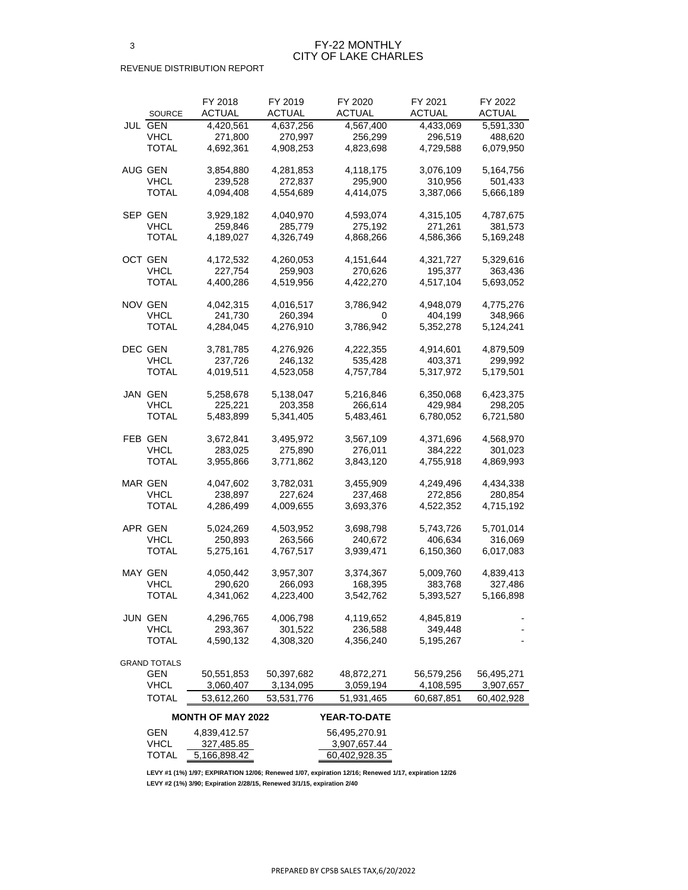|                     | FY 2018       | FY 2019       | FY 2020       | FY 2021    | FY 2022    |
|---------------------|---------------|---------------|---------------|------------|------------|
| <b>SOURCE</b>       | <b>ACTUAL</b> | <b>ACTUAL</b> | <b>ACTUAL</b> | ACTUAL     | ACTUAL     |
| JUL GEN             | 4,420,561     | 4,637,256     | 4,567,400     | 4,433,069  | 5,591,330  |
| <b>VHCL</b>         | 271,800       | 270,997       | 256,299       | 296,519    | 488,620    |
| TOTAL               | 4,692,361     | 4,908,253     | 4,823,698     | 4,729,588  | 6,079,950  |
|                     |               |               |               |            |            |
| AUG GEN             | 3,854,880     | 4,281,853     | 4,118,175     | 3,076,109  | 5,164,756  |
| <b>VHCL</b>         | 239,528       | 272,837       | 295,900       | 310,956    | 501,433    |
| <b>TOTAL</b>        | 4,094,408     | 4,554,689     | 4,414,075     | 3,387,066  | 5,666,189  |
|                     |               |               |               |            |            |
| SEP GEN             | 3,929,182     | 4,040,970     | 4,593,074     | 4,315,105  | 4,787,675  |
| <b>VHCL</b>         | 259,846       | 285,779       | 275,192       | 271,261    | 381,573    |
| TOTAL               | 4,189,027     | 4,326,749     | 4,868,266     | 4,586,366  | 5,169,248  |
|                     |               |               |               |            |            |
| OCT GEN             | 4,172,532     | 4,260,053     | 4, 151, 644   | 4,321,727  | 5,329,616  |
| <b>VHCL</b>         | 227,754       | 259,903       | 270,626       | 195,377    | 363,436    |
| TOTAL               | 4,400,286     | 4,519,956     | 4,422,270     | 4,517,104  | 5,693,052  |
|                     |               |               |               |            |            |
| NOV GEN             | 4,042,315     | 4,016,517     | 3,786,942     | 4,948,079  | 4,775,276  |
| <b>VHCL</b>         | 241,730       | 260,394       | 0             | 404,199    | 348,966    |
| <b>TOTAL</b>        | 4,284,045     | 4,276,910     | 3,786,942     | 5,352,278  | 5,124,241  |
|                     |               |               |               |            |            |
| DEC GEN             | 3,781,785     | 4,276,926     | 4,222,355     | 4,914,601  | 4,879,509  |
| <b>VHCL</b>         | 237,726       | 246,132       | 535,428       | 403,371    | 299,992    |
| <b>TOTAL</b>        | 4,019,511     | 4,523,058     | 4,757,784     | 5,317,972  | 5,179,501  |
|                     |               |               |               |            |            |
| JAN GEN             | 5,258,678     | 5,138,047     | 5,216,846     | 6,350,068  | 6,423,375  |
| <b>VHCL</b>         | 225,221       | 203,358       | 266,614       | 429,984    | 298,205    |
| <b>TOTAL</b>        | 5,483,899     | 5,341,405     | 5,483,461     | 6,780,052  | 6,721,580  |
|                     |               |               |               |            |            |
| FEB GEN             | 3,672,841     | 3,495,972     | 3,567,109     | 4,371,696  | 4,568,970  |
| <b>VHCL</b>         | 283,025       | 275,890       | 276,011       | 384,222    | 301,023    |
| TOTAL               | 3,955,866     | 3,771,862     | 3,843,120     | 4,755,918  | 4,869,993  |
|                     |               |               |               |            |            |
| <b>MAR GEN</b>      | 4,047,602     | 3,782,031     | 3,455,909     | 4,249,496  | 4,434,338  |
| <b>VHCL</b>         | 238,897       | 227,624       | 237,468       | 272,856    | 280,854    |
| <b>TOTAL</b>        | 4,286,499     | 4,009,655     | 3,693,376     | 4,522,352  | 4,715,192  |
|                     |               |               |               |            |            |
| APR GEN             | 5,024,269     | 4,503,952     | 3,698,798     | 5,743,726  | 5,701,014  |
| <b>VHCL</b>         | 250,893       | 263,566       | 240,672       | 406,634    | 316,069    |
| <b>TOTAL</b>        | 5,275,161     | 4,767,517     | 3,939,471     | 6,150,360  | 6,017,083  |
|                     |               |               |               |            |            |
| <b>MAY GEN</b>      | 4,050,442     | 3,957,307     | 3,374,367     | 5,009,760  | 4,839,413  |
| <b>VHCL</b>         | 290,620       | 266,093       | 168,395       | 383,768    | 327,486    |
| TOTAL               | 4,341,062     | 4,223,400     | 3,542,762     | 5,393,527  | 5,166,898  |
|                     |               |               |               |            |            |
| JUN GEN             | 4,296,765     | 4,006,798     | 4,119,652     | 4,845,819  |            |
| <b>VHCL</b>         | 293,367       | 301,522       | 236,588       | 349,448    |            |
| <b>TOTAL</b>        | 4,590,132     | 4,308,320     | 4,356,240     | 5,195,267  |            |
|                     |               |               |               |            |            |
| <b>GRAND TOTALS</b> |               |               |               |            |            |
| <b>GEN</b>          | 50,551,853    | 50,397,682    | 48,872,271    | 56,579,256 | 56,495,271 |
| <b>VHCL</b>         | 3,060,407     | 3,134,095     | 3,059,194     | 4,108,595  | 3,907,657  |
| <b>TOTAL</b>        | 53,612,260    | 53,531,776    | 51,931,465    | 60,687,851 | 60,402,928 |

|              | <b>MONTH OF MAY 2022</b> | <b>YEAR-TO-DATE</b> |
|--------------|--------------------------|---------------------|
| <b>GEN</b>   | 4,839,412.57             | 56,495,270.91       |
| <b>VHCL</b>  | 327,485.85               | 3,907,657.44        |
| <b>TOTAL</b> | 5,166,898.42             | 60,402,928.35       |

**LEVY #1 (1%) 1/97; EXPIRATION 12/06; Renewed 1/07, expiration 12/16; Renewed 1/17, expiration 12/26 LEVY #2 (1%) 3/90; Expiration 2/28/15, Renewed 3/1/15, expiration 2/40**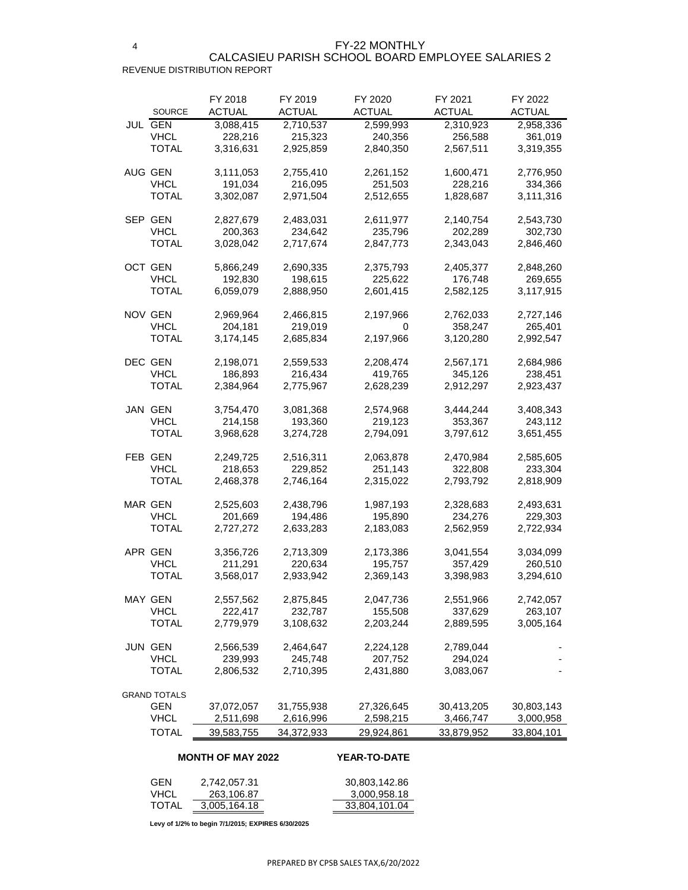#### 4 REVENUE DISTRIBUTION REPORT CALCASIEU PARISH SCHOOL BOARD EMPLOYEE SALARIES 2

|     | <b>SOURCE</b>       | FY 2018<br><b>ACTUAL</b> | FY 2019<br><b>ACTUAL</b> | FY 2020<br><b>ACTUAL</b> | FY 2021<br><b>ACTUAL</b> | FY 2022<br><b>ACTUAL</b> |
|-----|---------------------|--------------------------|--------------------------|--------------------------|--------------------------|--------------------------|
|     | <b>JUL GEN</b>      | 3,088,415                | 2,710,537                | 2,599,993                | 2,310,923                | 2,958,336                |
|     | <b>VHCL</b>         | 228,216                  | 215,323                  | 240,356                  | 256,588                  | 361,019                  |
|     | <b>TOTAL</b>        | 3,316,631                | 2,925,859                | 2,840,350                | 2,567,511                | 3,319,355                |
|     |                     |                          |                          |                          |                          |                          |
|     | AUG GEN             | 3,111,053                | 2,755,410                | 2,261,152                | 1,600,471                | 2,776,950                |
|     |                     |                          |                          |                          |                          |                          |
|     | <b>VHCL</b>         | 191,034                  | 216,095                  | 251,503                  | 228,216                  | 334,366                  |
|     | <b>TOTAL</b>        | 3,302,087                | 2,971,504                | 2,512,655                | 1,828,687                | 3,111,316                |
|     | SEP GEN             |                          |                          |                          |                          |                          |
|     |                     | 2,827,679                | 2,483,031                | 2,611,977                | 2,140,754                | 2,543,730                |
|     | <b>VHCL</b>         | 200,363                  | 234,642                  | 235,796                  | 202,289                  | 302,730                  |
|     | <b>TOTAL</b>        | 3,028,042                | 2,717,674                | 2,847,773                | 2,343,043                | 2,846,460                |
|     | <b>OCT GEN</b>      | 5,866,249                | 2,690,335                |                          | 2,405,377                |                          |
|     |                     |                          |                          | 2,375,793                |                          | 2,848,260                |
|     | <b>VHCL</b>         | 192,830                  | 198,615                  | 225,622                  | 176,748                  | 269,655                  |
|     | <b>TOTAL</b>        | 6,059,079                | 2,888,950                | 2,601,415                | 2,582,125                | 3,117,915                |
|     | NOV GEN             | 2,969,964                | 2,466,815                | 2,197,966                | 2,762,033                | 2,727,146                |
|     | <b>VHCL</b>         | 204,181                  | 219,019                  | 0                        | 358,247                  | 265,401                  |
|     | <b>TOTAL</b>        | 3,174,145                | 2,685,834                |                          |                          |                          |
|     |                     |                          |                          | 2,197,966                | 3,120,280                | 2,992,547                |
|     | DEC GEN             | 2,198,071                | 2,559,533                | 2,208,474                | 2,567,171                | 2,684,986                |
|     | <b>VHCL</b>         | 186,893                  | 216,434                  | 419,765                  | 345,126                  | 238,451                  |
|     | <b>TOTAL</b>        | 2,384,964                | 2,775,967                | 2,628,239                | 2,912,297                | 2,923,437                |
|     |                     |                          |                          |                          |                          |                          |
|     | JAN GEN             | 3,754,470                | 3,081,368                | 2,574,968                | 3,444,244                | 3,408,343                |
|     | <b>VHCL</b>         | 214,158                  | 193,360                  | 219,123                  | 353,367                  | 243,112                  |
|     | <b>TOTAL</b>        | 3,968,628                | 3,274,728                | 2,794,091                | 3,797,612                | 3,651,455                |
|     |                     |                          |                          |                          |                          |                          |
|     | FEB GEN             | 2,249,725                | 2,516,311                | 2,063,878                | 2,470,984                | 2,585,605                |
|     | <b>VHCL</b>         | 218,653                  | 229,852                  | 251,143                  | 322,808                  | 233,304                  |
|     | <b>TOTAL</b>        | 2,468,378                | 2,746,164                | 2,315,022                | 2,793,792                | 2,818,909                |
|     |                     |                          |                          |                          |                          |                          |
|     | <b>MAR GEN</b>      | 2,525,603                | 2,438,796                | 1,987,193                | 2,328,683                | 2,493,631                |
|     | <b>VHCL</b>         | 201,669                  | 194,486                  | 195,890                  | 234,276                  | 229,303                  |
|     | <b>TOTAL</b>        | 2,727,272                | 2,633,283                | 2,183,083                | 2,562,959                | 2,722,934                |
|     |                     |                          |                          |                          |                          |                          |
|     | APR GEN             | 3,356,726                | 2,713,309                | 2,173,386                | 3,041,554                | 3,034,099                |
|     | <b>VHCL</b>         | 211,291                  | 220,634                  | 195,757                  | 357,429                  | 260,510                  |
|     | <b>TOTAL</b>        | 3,568,017                | 2,933,942                | 2,369,143                | 3,398,983                | 3,294,610                |
|     |                     |                          |                          |                          |                          |                          |
|     | <b>MAY GEN</b>      | 2,557,562                | 2,875,845                | 2,047,736                | 2,551,966                | 2,742,057                |
|     | <b>VHCL</b>         | 222,417                  | 232,787                  | 155,508                  | 337,629                  | 263,107                  |
|     | <b>TOTAL</b>        | 2,779,979                | 3,108,632                | 2,203,244                | 2,889,595                | 3,005,164                |
|     |                     |                          |                          |                          |                          |                          |
| JUN | <b>GEN</b>          | 2,566,539                | 2,464,647                | 2,224,128                | 2,789,044                |                          |
|     | <b>VHCL</b>         | 239,993                  | 245,748                  | 207,752                  | 294,024                  |                          |
|     | <b>TOTAL</b>        | 2,806,532                | 2,710,395                | 2,431,880                | 3,083,067                |                          |
|     |                     |                          |                          |                          |                          |                          |
|     | <b>GRAND TOTALS</b> |                          |                          |                          |                          |                          |
|     | <b>GEN</b>          | 37,072,057               | 31,755,938               | 27,326,645               | 30,413,205               | 30,803,143               |
|     | <b>VHCL</b>         | 2,511,698                | 2,616,996                | 2,598,215                | 3,466,747                | 3,000,958                |
|     | <b>TOTAL</b>        | 39,583,755               | 34,372,933               | 29,924,861               | 33,879,952               | 33,804,101               |
|     |                     | <b>MONTH OF MAY 2022</b> |                          | <b>YEAR-TO-DATE</b>      |                          |                          |
|     |                     |                          |                          |                          |                          |                          |
|     | <b>GEN</b>          | 2,742,057.31             |                          | 30,803,142.86            |                          |                          |
|     | <b>VHCL</b>         | 263,106.87               |                          | 3,000,958.18             |                          |                          |
|     | <b>TOTAL</b>        | 3,005,164.18             |                          | 33,804,101.04            |                          |                          |

**Levy of 1/2% to begin 7/1/2015; EXPIRES 6/30/2025**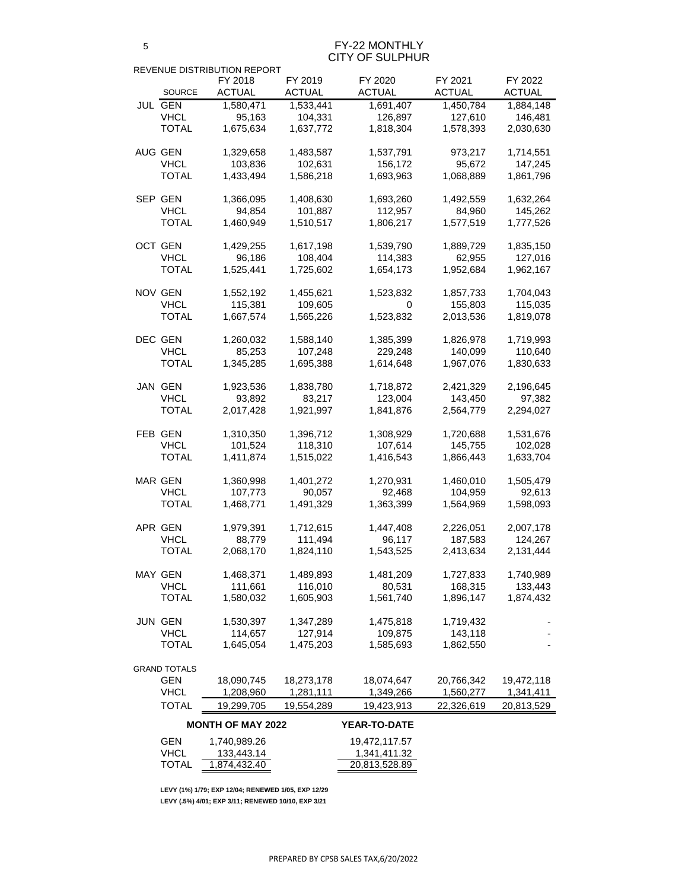FY-22 MONTHLY CITY OF SULPHUR

|                     | REVENUE DISTRIBUTION REPORT |               |                      |                      |               |
|---------------------|-----------------------------|---------------|----------------------|----------------------|---------------|
|                     | FY 2018                     | FY 2019       | FY 2020              | FY 2021              | FY 2022       |
| <b>SOURCE</b>       | <b>ACTUAL</b>               | <b>ACTUAL</b> | ACTUAL               | <b>ACTUAL</b>        | <b>ACTUAL</b> |
| <b>JUL GEN</b>      | 1,580,471                   | 1,533,441     | 1,691,407            | 1,450,784            | 1,884,148     |
| <b>VHCL</b>         | 95,163                      | 104,331       | 126,897              | 127,610              | 146,481       |
| <b>TOTAL</b>        | 1,675,634                   | 1,637,772     | 1,818,304            | 1,578,393            | 2,030,630     |
|                     |                             |               |                      |                      |               |
| AUG GEN             | 1,329,658                   | 1,483,587     | 1,537,791            | 973,217              | 1,714,551     |
| <b>VHCL</b>         | 103,836                     | 102,631       | 156,172              | 95,672               | 147,245       |
| TOTAL               | 1,433,494                   | 1,586,218     | 1,693,963            | 1,068,889            | 1,861,796     |
| SEP GEN             | 1,366,095                   | 1,408,630     | 1,693,260            | 1,492,559            | 1,632,264     |
| <b>VHCL</b>         | 94,854                      | 101,887       | 112,957              | 84,960               | 145,262       |
| <b>TOTAL</b>        | 1,460,949                   | 1,510,517     | 1,806,217            | 1,577,519            | 1,777,526     |
| <b>OCT GEN</b>      | 1,429,255                   | 1,617,198     | 1,539,790            | 1,889,729            | 1,835,150     |
| <b>VHCL</b>         | 96,186                      | 108,404       | 114,383              | 62,955               | 127,016       |
| <b>TOTAL</b>        | 1,525,441                   |               |                      |                      | 1,962,167     |
|                     |                             | 1,725,602     | 1,654,173            | 1,952,684            |               |
| <b>NOV GEN</b>      | 1,552,192                   | 1,455,621     | 1,523,832            | 1,857,733            | 1,704,043     |
| <b>VHCL</b>         | 115,381                     | 109,605       | 0                    | 155,803              | 115,035       |
| <b>TOTAL</b>        | 1,667,574                   | 1,565,226     | 1,523,832            | 2,013,536            | 1,819,078     |
| <b>DEC GEN</b>      | 1,260,032                   | 1,588,140     | 1,385,399            | 1,826,978            | 1,719,993     |
| <b>VHCL</b>         | 85,253                      | 107,248       | 229,248              | 140,099              | 110,640       |
| <b>TOTAL</b>        | 1,345,285                   | 1,695,388     | 1,614,648            | 1,967,076            | 1,830,633     |
|                     |                             |               |                      |                      |               |
| <b>JAN GEN</b>      | 1,923,536                   | 1,838,780     | 1,718,872            | 2,421,329            | 2,196,645     |
| <b>VHCL</b>         | 93,892                      | 83,217        | 123,004              | 143,450              | 97,382        |
| <b>TOTAL</b>        | 2,017,428                   | 1,921,997     | 1,841,876            | 2,564,779            | 2,294,027     |
| <b>FEB GEN</b>      | 1,310,350                   | 1,396,712     | 1,308,929            | 1,720,688            | 1,531,676     |
| <b>VHCL</b>         | 101,524                     | 118,310       | 107,614              | 145,755              | 102,028       |
| <b>TOTAL</b>        | 1,411,874                   | 1,515,022     | 1,416,543            | 1,866,443            | 1,633,704     |
| <b>MAR GEN</b>      | 1,360,998                   | 1,401,272     | 1,270,931            | 1,460,010            | 1,505,479     |
| <b>VHCL</b>         | 107,773                     | 90,057        | 92,468               | 104,959              | 92,613        |
| <b>TOTAL</b>        | 1,468,771                   | 1,491,329     | 1,363,399            | 1,564,969            | 1,598,093     |
|                     |                             |               |                      |                      |               |
| APR GEN             | 1,979,391                   | 1,712,615     | 1,447,408            | 2,226,051            | 2,007,178     |
| <b>VHCL</b>         | 88,779                      | 111,494       | 96,117               | 187,583              | 124,267       |
| <b>TOTAL</b>        | 2,068,170                   | 1,824,110     | 1,543,525            | 2,413,634            | 2,131,444     |
| <b>MAY GEN</b>      | 1,468,371                   | 1,489,893     | 1,481,209            | 1,727,833            | 1,740,989     |
| <b>VHCL</b>         | 111,661                     | 116,010       | 80,531               | 168,315              | 133,443       |
| <b>TOTAL</b>        | 1,580,032                   | 1,605,903     | 1,561,740            | 1,896,147            | 1,874,432     |
| JUN GEN             | 1,530,397                   | 1,347,289     |                      |                      |               |
| <b>VHCL</b>         |                             | 127,914       | 1,475,818            | 1,719,432            |               |
| <b>TOTAL</b>        | 114,657<br>1,645,054        | 1,475,203     | 109,875<br>1,585,693 | 143,118<br>1,862,550 |               |
|                     |                             |               |                      |                      |               |
| <b>GRAND TOTALS</b> |                             |               |                      |                      |               |
| <b>GEN</b>          | 18,090,745                  | 18,273,178    | 18,074,647           | 20,766,342           | 19,472,118    |
| <b>VHCL</b>         | 1,208,960                   | 1,281,111     | 1,349,266            | 1,560,277            | 1,341,411     |
| <b>TOTAL</b>        | 19,299,705                  | 19,554,289    | 19,423,913           | 22,326,619           | 20,813,529    |
|                     | <b>MONTH OF MAY 2022</b>    |               | <b>YEAR-TO-DATE</b>  |                      |               |
| <b>GEN</b>          | 1,740,989.26                |               | 19,472,117.57        |                      |               |
| <b>VHCL</b>         | 133,443.14                  |               | 1,341,411.32         |                      |               |
| <b>TOTAL</b>        | 1,874,432.40                |               | 20,813,528.89        |                      |               |

**LEVY (1%) 1/79; EXP 12/04; RENEWED 1/05, EXP 12/29 LEVY (.5%) 4/01; EXP 3/11; RENEWED 10/10, EXP 3/21**

5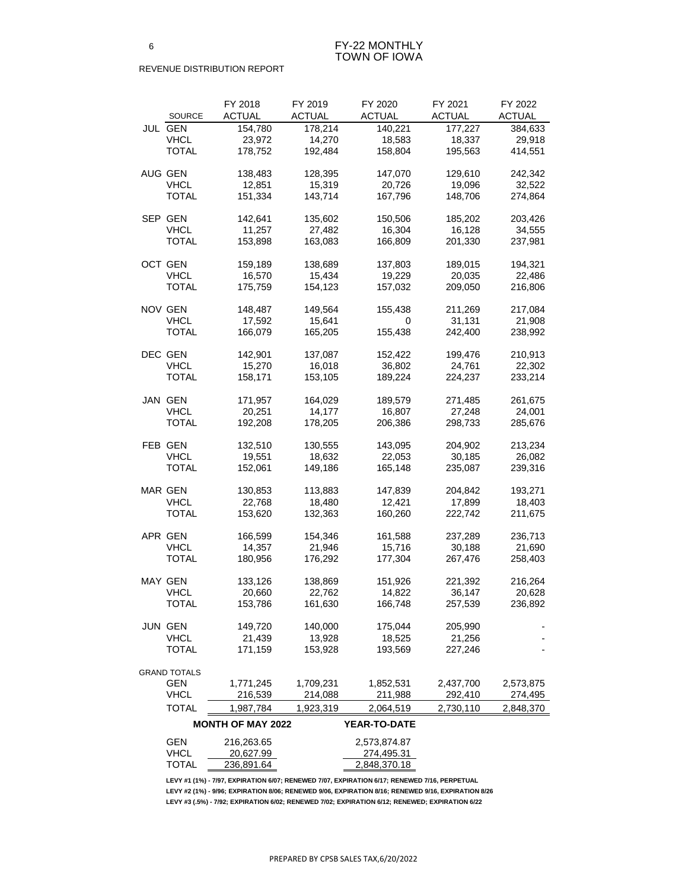|         | <b>SOURCE</b>               | FY 2018<br><b>ACTUAL</b> | FY 2019<br><b>ACTUAL</b> | FY 2020<br><b>ACTUAL</b>   | FY 2021<br><b>ACTUAL</b> | FY 2022<br><b>ACTUAL</b> |
|---------|-----------------------------|--------------------------|--------------------------|----------------------------|--------------------------|--------------------------|
|         | <b>JUL GEN</b>              | 154,780                  | 178,214                  | 140,221                    | 177,227                  | 384,633                  |
|         | <b>VHCL</b>                 | 23,972                   | 14,270                   | 18,583                     | 18,337                   | 29,918                   |
|         | <b>TOTAL</b>                | 178,752                  | 192,484                  | 158,804                    | 195,563                  | 414,551                  |
|         |                             |                          |                          |                            |                          |                          |
| AUG GEN |                             | 138,483                  | 128,395                  | 147,070                    | 129,610                  | 242,342                  |
|         | <b>VHCL</b>                 | 12,851                   | 15,319                   | 20,726                     | 19,096                   | 32,522                   |
|         | <b>TOTAL</b>                | 151,334                  | 143,714                  | 167,796                    | 148,706                  | 274,864                  |
|         |                             |                          |                          |                            |                          |                          |
|         | SEP GEN                     | 142,641                  | 135,602                  | 150,506                    | 185,202                  | 203,426                  |
|         | <b>VHCL</b>                 | 11,257                   | 27,482                   | 16,304                     | 16,128                   | 34,555                   |
|         | <b>TOTAL</b>                | 153,898                  | 163,083                  | 166,809                    | 201,330                  | 237,981                  |
|         |                             |                          |                          |                            |                          |                          |
|         | OCT GEN                     | 159,189                  | 138,689                  | 137,803                    | 189,015                  | 194,321                  |
|         | <b>VHCL</b>                 | 16,570                   | 15,434                   | 19,229                     | 20,035                   | 22,486                   |
|         | <b>TOTAL</b>                | 175,759                  | 154,123                  | 157,032                    | 209,050                  | 216,806                  |
|         |                             |                          |                          |                            |                          |                          |
|         | <b>NOV GEN</b>              | 148,487                  | 149,564                  | 155,438                    | 211,269                  | 217,084                  |
|         | <b>VHCL</b>                 | 17,592                   | 15,641                   | 0                          | 31,131                   | 21,908                   |
|         | <b>TOTAL</b>                | 166,079                  | 165,205                  | 155,438                    | 242,400                  | 238,992                  |
|         |                             |                          |                          |                            |                          |                          |
|         | DEC GEN                     | 142,901                  | 137,087                  | 152,422                    | 199,476                  | 210,913                  |
|         | <b>VHCL</b>                 | 15,270                   | 16,018                   | 36,802                     | 24,761                   | 22,302                   |
|         | <b>TOTAL</b>                | 158,171                  | 153,105                  | 189,224                    | 224,237                  | 233,214                  |
|         |                             |                          |                          |                            |                          |                          |
|         | JAN GEN                     | 171,957                  | 164,029                  | 189,579                    | 271,485                  | 261,675                  |
|         | <b>VHCL</b>                 | 20,251                   | 14,177                   | 16,807                     | 27,248                   | 24,001                   |
|         | <b>TOTAL</b>                | 192,208                  | 178,205                  | 206,386                    | 298,733                  | 285,676                  |
|         |                             |                          |                          |                            |                          |                          |
|         | FEB GEN                     | 132,510                  | 130,555                  | 143,095                    | 204,902                  | 213,234                  |
|         | VHCL                        | 19,551                   | 18,632                   | 22,053                     | 30,185                   | 26,082                   |
|         | <b>TOTAL</b>                | 152,061                  | 149,186                  | 165,148                    | 235,087                  | 239,316                  |
|         |                             |                          |                          |                            |                          |                          |
|         | <b>MAR GEN</b>              | 130,853                  | 113,883                  | 147,839                    | 204,842                  | 193,271                  |
|         | <b>VHCL</b><br><b>TOTAL</b> | 22,768                   | 18,480<br>132,363        | 12,421                     | 17,899<br>222,742        | 18,403                   |
|         |                             | 153,620                  |                          | 160,260                    |                          | 211,675                  |
|         | APR GEN                     | 166,599                  | 154,346                  | 161,588                    | 237,289                  | 236,713                  |
|         | <b>VHCL</b>                 | 14,357                   | 21,946                   | 15,716                     | 30,188                   | 21,690                   |
|         | <b>TOTAL</b>                | 180,956                  | 176,292                  | 177,304                    | 267,476                  | 258,403                  |
|         |                             |                          |                          |                            |                          |                          |
|         | <b>MAY GEN</b>              | 133,126                  | 138,869                  | 151,926                    | 221,392                  | 216,264                  |
|         | <b>VHCL</b>                 | 20,660                   | 22,762                   | 14,822                     | 36,147                   | 20,628                   |
|         | <b>TOTAL</b>                | 153,786                  | 161,630                  | 166,748                    | 257,539                  | 236,892                  |
|         |                             |                          |                          |                            |                          |                          |
|         | <b>JUN GEN</b>              | 149,720                  | 140,000                  | 175,044                    | 205,990                  |                          |
|         | <b>VHCL</b>                 | 21,439                   | 13,928                   | 18,525                     | 21,256                   |                          |
|         | <b>TOTAL</b>                | 171,159                  | 153,928                  | 193,569                    | 227,246                  |                          |
|         |                             |                          |                          |                            |                          |                          |
|         | <b>GRAND TOTALS</b>         |                          |                          |                            |                          |                          |
|         | <b>GEN</b>                  | 1,771,245                | 1,709,231                | 1,852,531                  | 2,437,700                | 2,573,875                |
|         | <b>VHCL</b>                 | 216,539                  | 214,088                  | 211,988                    | 292,410                  | 274,495                  |
|         | <b>TOTAL</b>                | 1,987,784                | 1,923,319                | 2,064,519                  | 2,730,110                | 2,848,370                |
|         |                             | <b>MONTH OF MAY 2022</b> |                          | <b>YEAR-TO-DATE</b>        |                          |                          |
|         |                             |                          |                          |                            |                          |                          |
|         | <b>GEN</b><br><b>VHCL</b>   | 216,263.65<br>20,627.99  |                          | 2,573,874.87<br>274,495.31 |                          |                          |
|         | <b>TOTAL</b>                | 236,891.64               |                          | 2,848,370.18               |                          |                          |
|         |                             |                          |                          |                            |                          |                          |

**LEVY #1 (1%) - 7/97, EXPIRATION 6/07; RENEWED 7/07, EXPIRATION 6/17; RENEWED 7/16, PERPETUAL LEVY #2 (1%) - 9/96; EXPIRATION 8/06; RENEWED 9/06, EXPIRATION 8/16; RENEWED 9/16, EXPIRATION 8/26 LEVY #3 (.5%) - 7/92; EXPIRATION 6/02; RENEWED 7/02; EXPIRATION 6/12; RENEWED; EXPIRATION 6/22**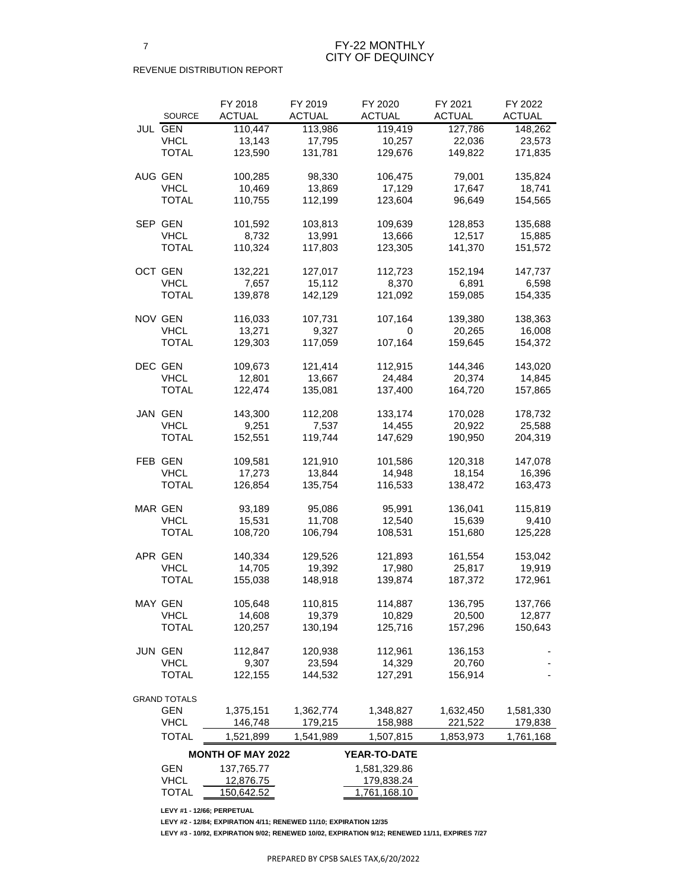|                |                     | FY 2018                  | FY 2019       | FY 2020       | FY 2021       | FY 2022       |
|----------------|---------------------|--------------------------|---------------|---------------|---------------|---------------|
|                | <b>SOURCE</b>       | <b>ACTUAL</b>            | <b>ACTUAL</b> | <b>ACTUAL</b> | <b>ACTUAL</b> | <b>ACTUAL</b> |
|                | <b>JUL GEN</b>      | 110,447                  | 113,986       | 119,419       | 127,786       | 148,262       |
|                | <b>VHCL</b>         | 13,143                   | 17,795        | 10,257        | 22,036        | 23,573        |
|                | <b>TOTAL</b>        | 123,590                  | 131,781       | 129,676       | 149,822       | 171,835       |
| AUG GEN        |                     | 100,285                  | 98,330        | 106,475       | 79,001        | 135,824       |
|                | <b>VHCL</b>         | 10,469                   | 13,869        | 17,129        | 17,647        | 18,741        |
|                | <b>TOTAL</b>        | 110,755                  | 112,199       | 123,604       | 96,649        | 154,565       |
|                | SEP GEN             | 101,592                  | 103,813       | 109,639       | 128,853       | 135,688       |
|                | <b>VHCL</b>         | 8,732                    | 13,991        | 13,666        | 12,517        | 15,885        |
|                | <b>TOTAL</b>        | 110,324                  | 117,803       | 123,305       | 141,370       | 151,572       |
| <b>OCT GEN</b> |                     | 132,221                  | 127,017       | 112,723       | 152,194       | 147,737       |
|                | <b>VHCL</b>         | 7,657                    | 15,112        | 8,370         | 6,891         | 6,598         |
|                | <b>TOTAL</b>        | 139,878                  | 142,129       | 121,092       | 159,085       | 154,335       |
| <b>NOV GEN</b> |                     | 116,033                  | 107,731       | 107,164       | 139,380       | 138,363       |
|                | <b>VHCL</b>         | 13,271                   | 9,327         | 0             | 20,265        | 16,008        |
|                | <b>TOTAL</b>        | 129,303                  | 117,059       | 107,164       | 159,645       | 154,372       |
| DEC GEN        |                     | 109,673                  | 121,414       | 112,915       | 144,346       | 143,020       |
|                | <b>VHCL</b>         | 12,801                   | 13,667        | 24,484        | 20,374        | 14,845        |
|                | <b>TOTAL</b>        | 122,474                  | 135,081       | 137,400       | 164,720       | 157,865       |
|                |                     |                          |               |               |               |               |
|                | JAN GEN             | 143,300                  | 112,208       | 133,174       | 170,028       | 178,732       |
|                | <b>VHCL</b>         | 9,251                    | 7,537         | 14,455        | 20,922        | 25,588        |
|                | <b>TOTAL</b>        | 152,551                  | 119,744       | 147,629       | 190,950       | 204,319       |
|                | FEB GEN             | 109,581                  | 121,910       | 101,586       | 120,318       | 147,078       |
|                | <b>VHCL</b>         | 17,273                   | 13,844        | 14,948        | 18,154        | 16,396        |
|                | <b>TOTAL</b>        | 126,854                  | 135,754       | 116,533       | 138,472       | 163,473       |
| <b>MAR GEN</b> |                     | 93,189                   | 95,086        | 95,991        | 136,041       | 115,819       |
|                | <b>VHCL</b>         | 15,531                   | 11,708        | 12,540        | 15,639        | 9,410         |
|                | <b>TOTAL</b>        | 108,720                  | 106,794       | 108,531       | 151,680       | 125,228       |
|                | APR GEN             | 140,334                  | 129,526       | 121,893       | 161,554       | 153,042       |
|                | <b>VHCL</b>         | 14,705                   | 19,392        | 17,980        | 25,817        | 19,919        |
|                | <b>TOTAL</b>        | 155,038                  | 148,918       | 139,874       | 187,372       | 172,961       |
|                | <b>MAY GEN</b>      | 105,648                  | 110,815       | 114,887       | 136,795       | 137,766       |
|                | <b>VHCL</b>         | 14,608                   | 19,379        | 10,829        | 20,500        | 12,877        |
|                | <b>TOTAL</b>        | 120,257                  | 130,194       | 125,716       | 157,296       | 150,643       |
|                | <b>JUN GEN</b>      | 112,847                  | 120,938       | 112,961       | 136,153       |               |
|                | <b>VHCL</b>         | 9,307                    | 23,594        | 14,329        | 20,760        |               |
|                | <b>TOTAL</b>        | 122,155                  | 144,532       | 127,291       | 156,914       |               |
|                | <b>GRAND TOTALS</b> |                          |               |               |               |               |
|                | <b>GEN</b>          | 1,375,151                | 1,362,774     | 1,348,827     | 1,632,450     | 1,581,330     |
|                | <b>VHCL</b>         | 146,748                  | 179,215       | 158,988       | 221,522       | 179,838       |
|                | <b>TOTAL</b>        | 1,521,899                | 1,541,989     | 1,507,815     | 1,853,973     | 1,761,168     |
|                |                     | <b>MONTH OF MAY 2022</b> |               | YEAR-TO-DATE  |               |               |
|                | <b>GEN</b>          | 137,765.77               |               | 1,581,329.86  |               |               |
|                | <b>VHCL</b>         | 12,876.75                |               | 179,838.24    |               |               |
|                | <b>TOTAL</b>        | 150,642.52               |               | 1,761,168.10  |               |               |

**LEVY #1 - 12/66; PERPETUAL**

**LEVY #2 - 12/84; EXPIRATION 4/11; RENEWED 11/10; EXPIRATION 12/35**

**LEVY #3 - 10/92, EXPIRATION 9/02; RENEWED 10/02, EXPIRATION 9/12; RENEWED 11/11, EXPIRES 7/27**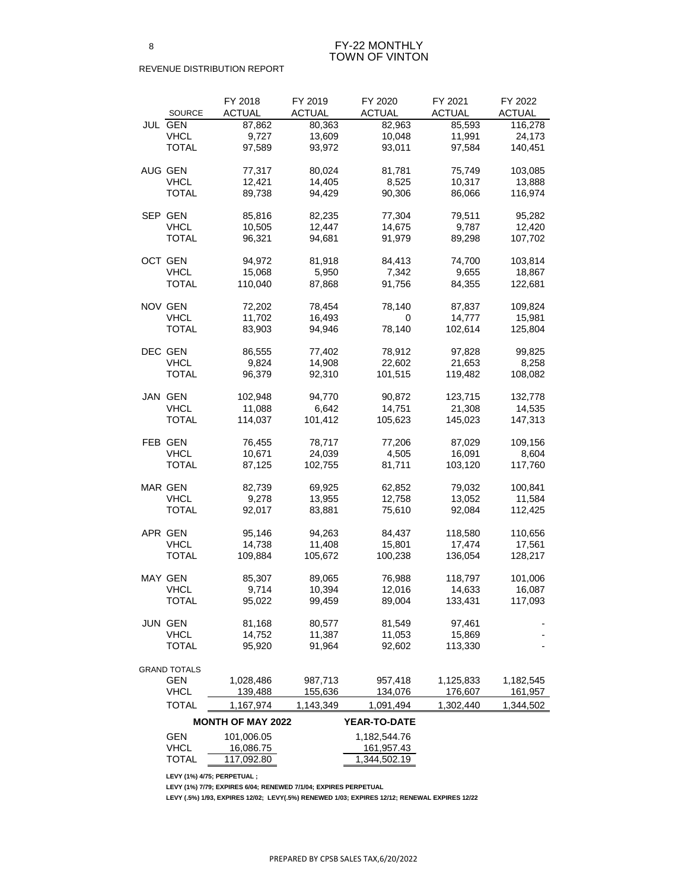### FY-22 MONTHLY TOWN OF VINTON

#### REVENUE DISTRIBUTION REPORT

|                | <b>SOURCE</b>             | FY 2018<br><b>ACTUAL</b> | FY 2019<br><b>ACTUAL</b> | FY 2020<br><b>ACTUAL</b> | FY 2021<br><b>ACTUAL</b> | FY 2022<br><b>ACTUAL</b> |
|----------------|---------------------------|--------------------------|--------------------------|--------------------------|--------------------------|--------------------------|
| <b>JUL GEN</b> |                           | 87,862                   | 80,363                   | 82,963                   | 85,593                   | 116,278                  |
|                | <b>VHCL</b>               | 9,727                    | 13,609                   | 10,048                   | 11,991                   | 24,173                   |
|                | TOTAL                     | 97,589                   | 93,972                   | 93,011                   | 97,584                   | 140,451                  |
|                |                           |                          |                          |                          |                          |                          |
| AUG GEN        |                           | 77,317                   | 80,024                   | 81,781                   | 75,749                   | 103,085                  |
|                | <b>VHCL</b>               | 12,421                   | 14,405                   | 8,525                    | 10,317                   | 13,888                   |
|                | <b>TOTAL</b>              | 89,738                   | 94,429                   | 90,306                   | 86,066                   | 116,974                  |
|                |                           |                          |                          |                          |                          |                          |
| SEP GEN        |                           | 85,816                   | 82,235                   | 77,304                   | 79,511                   | 95,282                   |
|                | <b>VHCL</b>               | 10,505                   | 12,447                   | 14,675                   | 9,787                    | 12,420                   |
|                | TOTAL                     | 96,321                   | 94,681                   | 91,979                   | 89,298                   | 107,702                  |
|                |                           |                          |                          |                          |                          |                          |
| OCT GEN        |                           | 94,972                   | 81,918                   | 84,413                   | 74,700                   | 103,814                  |
|                | <b>VHCL</b>               | 15,068                   | 5,950                    | 7,342                    | 9,655                    | 18,867                   |
|                | TOTAL                     | 110,040                  | 87,868                   | 91,756                   | 84,355                   | 122,681                  |
| <b>NOV GEN</b> |                           | 72,202                   | 78,454                   | 78,140                   | 87,837                   | 109,824                  |
|                | <b>VHCL</b>               | 11,702                   | 16,493                   | 0                        | 14,777                   | 15,981                   |
|                | TOTAL                     | 83,903                   | 94,946                   | 78,140                   | 102,614                  | 125,804                  |
|                |                           |                          |                          |                          |                          |                          |
| <b>DEC GEN</b> |                           | 86,555                   | 77,402                   | 78,912                   | 97,828                   | 99,825                   |
|                | <b>VHCL</b>               | 9,824                    | 14,908                   | 22,602                   | 21,653                   | 8,258                    |
|                | <b>TOTAL</b>              | 96,379                   | 92,310                   | 101,515                  | 119,482                  | 108,082                  |
|                |                           |                          |                          |                          |                          |                          |
| JAN GEN        |                           | 102,948                  | 94,770                   | 90,872                   | 123,715                  | 132,778                  |
|                | <b>VHCL</b>               | 11,088                   | 6,642                    | 14,751                   | 21,308                   | 14,535                   |
|                | <b>TOTAL</b>              | 114,037                  | 101,412                  | 105,623                  | 145,023                  | 147,313                  |
| <b>FEB GEN</b> |                           | 76,455                   | 78,717                   | 77,206                   | 87,029                   | 109,156                  |
|                | <b>VHCL</b>               | 10,671                   | 24,039                   | 4,505                    | 16,091                   | 8,604                    |
|                | <b>TOTAL</b>              | 87,125                   | 102,755                  | 81,711                   | 103,120                  | 117,760                  |
|                |                           |                          |                          |                          |                          |                          |
| <b>MAR GEN</b> |                           | 82,739                   | 69,925                   | 62,852                   | 79,032                   | 100,841                  |
|                | <b>VHCL</b>               | 9,278                    | 13,955                   | 12,758                   | 13,052                   | 11,584                   |
|                | <b>TOTAL</b>              | 92,017                   | 83,881                   | 75,610                   | 92,084                   | 112,425                  |
|                |                           |                          |                          |                          |                          |                          |
| <b>APR GEN</b> |                           | 95,146                   | 94,263                   | 84,437                   | 118,580                  | 110,656                  |
|                | <b>VHCL</b>               | 14,738                   | 11,408                   | 15,801                   | 17,474                   | 17,561                   |
|                | <b>TOTAL</b>              | 109,884                  | 105,672                  | 100,238                  | 136,054                  | 128,217                  |
| <b>MAY GEN</b> |                           | 85,307                   | 89,065                   | 76,988                   | 118,797                  | 101,006                  |
|                | <b>VHCL</b>               | 9,714                    | 10,394                   | 12,016                   | 14,633                   | 16,087                   |
|                | <b>TOTAL</b>              | 95,022                   | 99,459                   | 89,004                   | 133,431                  | 117,093                  |
|                |                           |                          |                          |                          |                          |                          |
| <b>JUN GEN</b> |                           | 81,168                   | 80,577                   | 81,549                   | 97,461                   |                          |
|                | <b>VHCL</b>               | 14,752                   | 11,387                   | 11,053                   | 15,869                   |                          |
|                | <b>TOTAL</b>              | 95,920                   | 91,964                   | 92,602                   | 113,330                  |                          |
|                |                           |                          |                          |                          |                          |                          |
|                | <b>GRAND TOTALS</b>       |                          |                          |                          |                          |                          |
|                | <b>GEN</b><br><b>VHCL</b> | 1,028,486<br>139,488     | 987,713<br>155,636       | 957,418<br>134,076       | 1,125,833<br>176,607     | 1,182,545<br>161,957     |
|                | <b>TOTAL</b>              | 1,167,974                | 1,143,349                | 1,091,494                | 1,302,440                | 1,344,502                |
|                |                           |                          |                          |                          |                          |                          |
|                |                           | <b>MONTH OF MAY 2022</b> |                          | YEAR-TO-DATE             |                          |                          |
|                | <b>GEN</b>                | 101,006.05               |                          | 1,182,544.76             |                          |                          |
|                | <b>VHCL</b>               | 16,086.75                |                          | 161,957.43               |                          |                          |
|                | <b>TOTAL</b>              | 117,092.80               |                          | 1,344,502.19             |                          |                          |

**LEVY (1%) 4/75; PERPETUAL ;** 

**LEVY (1%) 7/79; EXPIRES 6/04; RENEWED 7/1/04; EXPIRES PERPETUAL**

**LEVY (.5%) 1/93, EXPIRES 12/02; LEVY(.5%) RENEWED 1/03; EXPIRES 12/12; RENEWAL EXPIRES 12/22**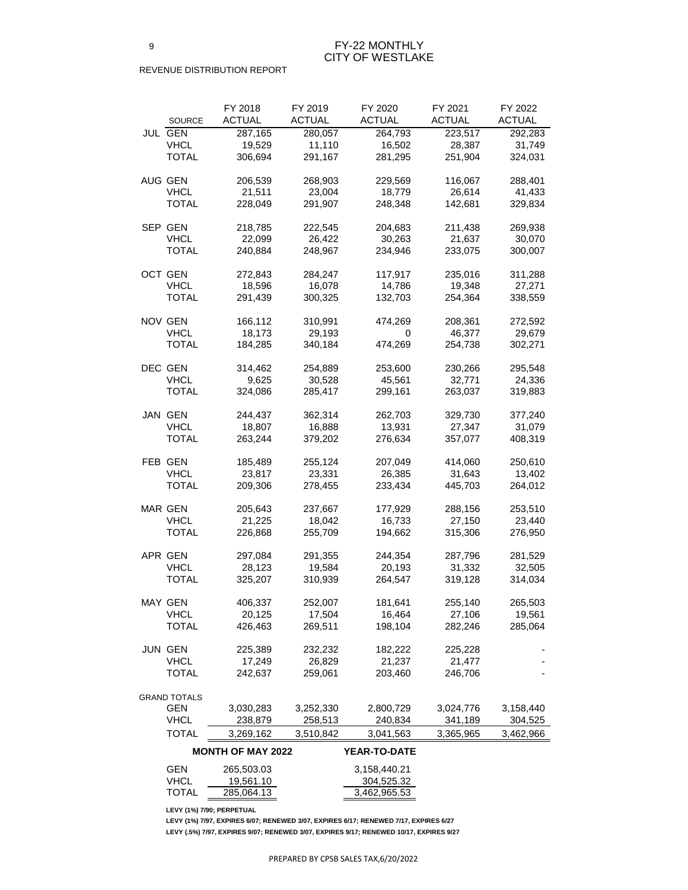## FY-22 MONTHLY CITY OF WESTLAKE

#### REVENUE DISTRIBUTION REPORT

|                     | FY 2018                  | FY 2019       | FY 2020             | FY 2021       | FY 2022       |
|---------------------|--------------------------|---------------|---------------------|---------------|---------------|
| <b>SOURCE</b>       | <b>ACTUAL</b>            | <b>ACTUAL</b> | <b>ACTUAL</b>       | <b>ACTUAL</b> | <b>ACTUAL</b> |
| <b>JUL GEN</b>      | 287,165                  | 280,057       | 264,793             | 223,517       | 292,283       |
| <b>VHCL</b>         | 19,529                   | 11,110        | 16,502              | 28,387        | 31,749        |
| <b>TOTAL</b>        | 306,694                  | 291,167       | 281,295             | 251,904       | 324,031       |
| AUG GEN             | 206,539                  | 268,903       | 229,569             | 116,067       | 288,401       |
| <b>VHCL</b>         | 21,511                   | 23,004        | 18,779              | 26,614        | 41,433        |
| <b>TOTAL</b>        | 228,049                  | 291,907       | 248,348             | 142,681       | 329,834       |
|                     |                          |               |                     |               |               |
| SEP GEN             | 218,785                  | 222,545       | 204,683             | 211,438       | 269,938       |
| <b>VHCL</b>         | 22,099                   | 26,422        | 30,263              | 21,637        | 30,070        |
| <b>TOTAL</b>        | 240,884                  | 248,967       | 234,946             | 233,075       | 300,007       |
| OCT GEN             | 272,843                  | 284,247       | 117,917             | 235,016       | 311,288       |
| <b>VHCL</b>         | 18,596                   | 16,078        | 14,786              | 19,348        | 27,271        |
| <b>TOTAL</b>        | 291,439                  | 300,325       | 132,703             | 254,364       | 338,559       |
| <b>NOV GEN</b>      | 166,112                  | 310,991       | 474,269             | 208,361       | 272,592       |
| <b>VHCL</b>         | 18,173                   | 29,193        | 0                   | 46,377        | 29,679        |
| <b>TOTAL</b>        | 184,285                  | 340,184       | 474,269             | 254,738       | 302,271       |
| DEC GEN             | 314,462                  | 254,889       | 253,600             | 230,266       | 295,548       |
| <b>VHCL</b>         | 9,625                    | 30,528        | 45,561              | 32,771        | 24,336        |
| <b>TOTAL</b>        | 324,086                  | 285,417       | 299,161             | 263,037       | 319,883       |
|                     |                          |               |                     |               |               |
| JAN GEN             | 244,437                  | 362,314       | 262,703             | 329,730       | 377,240       |
| <b>VHCL</b>         | 18,807                   | 16,888        | 13,931              | 27,347        | 31,079        |
| <b>TOTAL</b>        | 263,244                  | 379,202       | 276,634             | 357,077       | 408,319       |
| FEB GEN             | 185,489                  | 255,124       | 207,049             | 414,060       | 250,610       |
| <b>VHCL</b>         | 23,817                   | 23,331        | 26,385              | 31,643        | 13,402        |
| <b>TOTAL</b>        | 209,306                  | 278,455       | 233,434             | 445,703       | 264,012       |
| <b>MAR GEN</b>      | 205,643                  | 237,667       | 177,929             | 288,156       | 253,510       |
| <b>VHCL</b>         | 21,225                   | 18,042        | 16,733              | 27,150        | 23,440        |
| <b>TOTAL</b>        | 226,868                  | 255,709       | 194,662             | 315,306       | 276,950       |
| APR GEN             | 297,084                  | 291,355       | 244,354             | 287,796       | 281,529       |
| <b>VHCL</b>         | 28,123                   | 19,584        | 20,193              | 31,332        | 32,505        |
| <b>TOTAL</b>        | 325,207                  | 310,939       | 264,547             | 319,128       | 314,034       |
| <b>MAY GEN</b>      | 406,337                  | 252,007       | 181,641             | 255,140       | 265,503       |
| <b>VHCL</b>         | 20,125                   | 17,504        | 16,464              | 27,106        | 19,561        |
| <b>TOTAL</b>        | 426,463                  | 269,511       | 198,104             | 282,246       | 285,064       |
|                     |                          |               |                     |               |               |
| <b>JUN GEN</b>      | 225,389                  | 232,232       | 182,222             | 225,228       |               |
| <b>VHCL</b>         | 17,249                   | 26,829        | 21,237              | 21,477        |               |
| <b>TOTAL</b>        | 242,637                  | 259,061       | 203,460             | 246,706       |               |
| <b>GRAND TOTALS</b> |                          |               |                     |               |               |
| <b>GEN</b>          | 3,030,283                | 3,252,330     | 2,800,729           | 3,024,776     | 3,158,440     |
| <b>VHCL</b>         | 238,879                  | 258,513       | 240,834             | 341,189       | 304,525       |
| <b>TOTAL</b>        | 3,269,162                | 3,510,842     | 3,041,563           | 3,365,965     | 3,462,966     |
|                     | <b>MONTH OF MAY 2022</b> |               | <b>YEAR-TO-DATE</b> |               |               |
| <b>GEN</b>          | 265,503.03               |               | 3,158,440.21        |               |               |
| <b>VHCL</b>         | 19,561.10                |               | 304,525.32          |               |               |
| <b>TOTAL</b>        | 285,064.13               |               | 3,462,965.53        |               |               |

**LEVY (1%) 7/90; PERPETUAL**

**LEVY (1%) 7/97, EXPIRES 6/07; RENEWED 3/07, EXPIRES 6/17; RENEWED 7/17, EXPIRES 6/27 LEVY (.5%) 7/97, EXPIRES 9/07; RENEWED 3/07, EXPIRES 9/17; RENEWED 10/17, EXPIRES 9/27**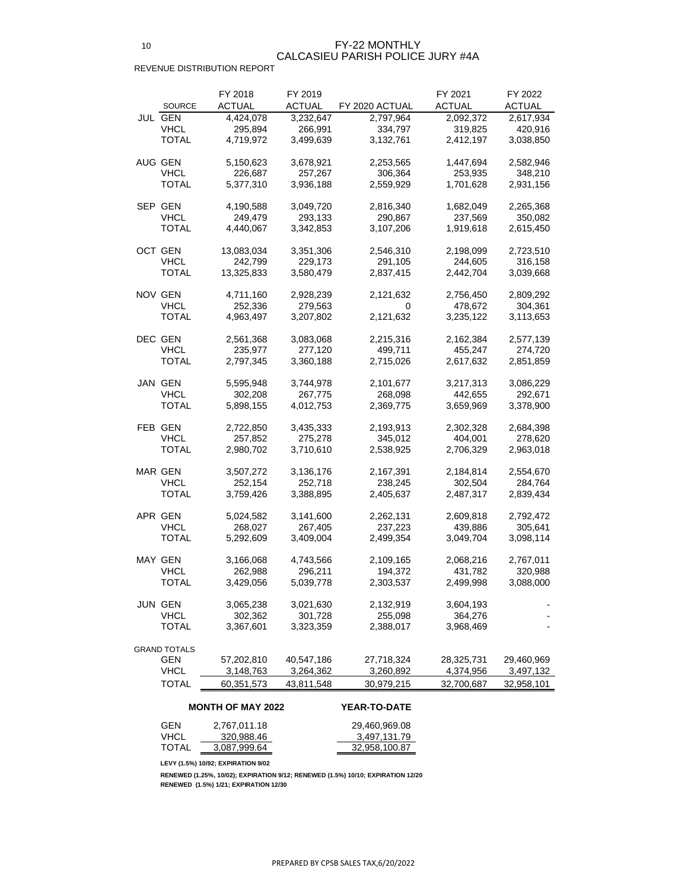|                     | FY 2018       | FY 2019       |                | FY 2021       | FY 2022       |
|---------------------|---------------|---------------|----------------|---------------|---------------|
| <b>SOURCE</b>       | <b>ACTUAL</b> | <b>ACTUAL</b> | FY 2020 ACTUAL | <b>ACTUAL</b> | <b>ACTUAL</b> |
| JUL GEN             | 4,424,078     | 3,232,647     | 2,797,964      | 2,092,372     | 2,617,934     |
| <b>VHCL</b>         | 295,894       | 266,991       | 334,797        | 319,825       | 420,916       |
| TOTAL               | 4,719,972     | 3,499,639     | 3,132,761      | 2,412,197     | 3,038,850     |
|                     |               |               |                |               |               |
| AUG GEN             | 5,150,623     | 3,678,921     | 2,253,565      | 1,447,694     | 2,582,946     |
| <b>VHCL</b>         | 226,687       | 257,267       | 306,364        | 253,935       | 348,210       |
| <b>TOTAL</b>        | 5,377,310     | 3,936,188     | 2,559,929      | 1,701,628     | 2,931,156     |
| SEP GEN             | 4,190,588     | 3,049,720     | 2,816,340      | 1,682,049     | 2,265,368     |
| <b>VHCL</b>         | 249,479       | 293,133       | 290,867        | 237,569       | 350,082       |
| TOTAL               | 4,440,067     | 3,342,853     | 3,107,206      | 1,919,618     | 2,615,450     |
|                     |               |               |                |               |               |
| OCT GEN             | 13,083,034    | 3,351,306     | 2,546,310      | 2,198,099     | 2,723,510     |
| <b>VHCL</b>         | 242,799       | 229,173       | 291,105        | 244,605       | 316,158       |
| TOTAL               | 13,325,833    | 3,580,479     | 2,837,415      | 2,442,704     | 3,039,668     |
| NOV GEN             | 4,711,160     | 2,928,239     | 2,121,632      | 2,756,450     | 2,809,292     |
| <b>VHCL</b>         | 252,336       | 279,563       | 0              | 478,672       | 304,361       |
| TOTAL               | 4,963,497     | 3,207,802     | 2,121,632      | 3,235,122     | 3,113,653     |
|                     |               |               |                |               |               |
| DEC GEN             | 2,561,368     | 3,083,068     | 2,215,316      | 2,162,384     | 2,577,139     |
| <b>VHCL</b>         | 235,977       | 277,120       | 499,711        | 455,247       | 274,720       |
| TOTAL               | 2,797,345     | 3,360,188     | 2,715,026      | 2,617,632     | 2,851,859     |
| JAN GEN             | 5,595,948     | 3,744,978     | 2,101,677      | 3,217,313     | 3,086,229     |
| <b>VHCL</b>         | 302,208       | 267,775       | 268,098        | 442,655       | 292,671       |
| TOTAL               | 5,898,155     | 4,012,753     | 2,369,775      | 3,659,969     | 3,378,900     |
| FEB GEN             | 2,722,850     | 3,435,333     | 2,193,913      | 2,302,328     | 2,684,398     |
| <b>VHCL</b>         | 257,852       | 275,278       | 345,012        | 404,001       | 278,620       |
| TOTAL               | 2,980,702     | 3,710,610     | 2,538,925      | 2,706,329     | 2,963,018     |
|                     |               |               |                |               |               |
| MAR GEN             | 3,507,272     | 3,136,176     | 2,167,391      | 2,184,814     | 2,554,670     |
| <b>VHCL</b>         | 252,154       | 252,718       | 238,245        | 302,504       | 284,764       |
| TOTAL               | 3,759,426     | 3,388,895     | 2,405,637      | 2,487,317     | 2,839,434     |
| APR GEN             | 5,024,582     | 3,141,600     | 2,262,131      | 2,609,818     | 2,792,472     |
| <b>VHCL</b>         | 268,027       | 267,405       | 237,223        | 439,886       | 305,641       |
| <b>TOTAL</b>        | 5,292,609     | 3,409,004     | 2,499,354      | 3,049,704     | 3,098,114     |
|                     |               |               |                |               |               |
| MAY GEN             | 3,166,068     | 4,743,566     | 2,109,165      | 2,068,216     | 2,767,011     |
| <b>VHCL</b>         | 262,988       | 296,211       | 194,372        | 431,782       | 320,988       |
| TOTAL               | 3,429,056     | 5,039,778     | 2,303,537      | 2,499,998     | 3,088,000     |
| JUN GEN             | 3,065,238     | 3,021,630     | 2,132,919      | 3,604,193     |               |
| <b>VHCL</b>         | 302,362       | 301,728       | 255,098        | 364,276       |               |
| TOTAL               | 3,367,601     | 3,323,359     | 2,388,017      | 3,968,469     |               |
|                     |               |               |                |               |               |
| <b>GRAND TOTALS</b> |               |               |                |               |               |
| GEN<br><b>VHCL</b>  | 57,202,810    | 40,547,186    | 27,718,324     | 28,325,731    | 29,460,969    |
|                     | 3,148,763     | 3,264,362     | 3,260,892      | 4,374,956     | 3,497,132     |
| TOTAL               | 60,351,573    | 43,811,548    | 30,979,215     | 32,700,687    | 32,958,101    |

## **MONTH OF MAY 2022 YEAR-TO-DATE**

| <b>GEN</b>   | 2,767,011.18 | 29,460,969.08 |
|--------------|--------------|---------------|
| <b>VHCL</b>  | 320,988.46   | 3,497,131.79  |
| <b>TOTAL</b> | 3,087,999.64 | 32,958,100.87 |

**LEVY (1.5%) 10/92; EXPIRATION 9/02**

**RENEWED (1.25%, 10/02); EXPIRATION 9/12; RENEWED (1.5%) 10/10; EXPIRATION 12/20 RENEWED (1.5%) 1/21; EXPIRATION 12/30**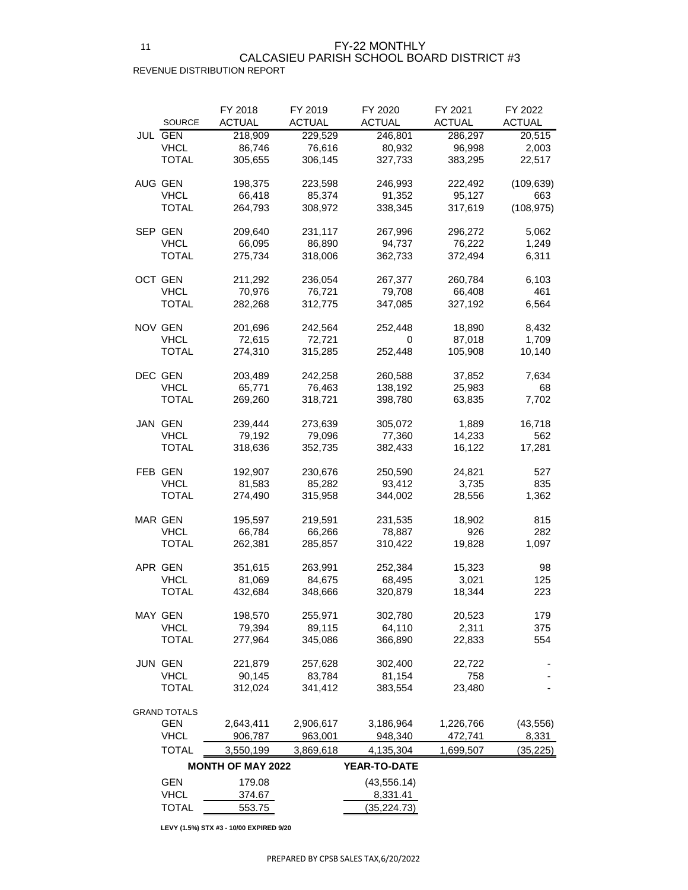## REVENUE DISTRIBUTION REPORT CALCASIEU PARISH SCHOOL BOARD DISTRICT #3

| <b>SOURCE</b>                 | FY 2018<br><b>ACTUAL</b> | FY 2019<br><b>ACTUAL</b> | FY 2020<br><b>ACTUAL</b> | FY 2021<br><b>ACTUAL</b> | FY 2022<br><b>ACTUAL</b> |
|-------------------------------|--------------------------|--------------------------|--------------------------|--------------------------|--------------------------|
| <b>JUL GEN</b>                | 218,909                  | 229,529                  | 246,801                  | 286,297                  | 20,515                   |
| <b>VHCL</b>                   | 86,746                   | 76,616                   | 80,932                   | 96,998                   | 2,003                    |
| <b>TOTAL</b>                  | 305,655                  | 306,145                  | 327,733                  | 383,295                  | 22,517                   |
| AUG GEN                       | 198,375                  | 223,598                  | 246,993                  | 222,492                  | (109, 639)               |
| <b>VHCL</b>                   | 66,418                   | 85,374                   | 91,352                   | 95,127                   | 663                      |
| <b>TOTAL</b>                  | 264,793                  | 308,972                  | 338,345                  | 317,619                  | (108, 975)               |
| SEP GEN                       | 209,640                  | 231,117                  | 267,996                  | 296,272                  | 5,062                    |
| <b>VHCL</b>                   | 66,095                   | 86,890                   | 94,737                   | 76,222                   | 1,249                    |
| <b>TOTAL</b>                  | 275,734                  | 318,006                  | 362,733                  | 372,494                  | 6,311                    |
| OCT GEN                       | 211,292                  | 236,054                  | 267,377                  | 260,784                  | 6,103                    |
| <b>VHCL</b>                   | 70,976                   | 76,721                   | 79,708                   | 66,408                   | 461                      |
| <b>TOTAL</b>                  | 282,268                  | 312,775                  | 347,085                  | 327,192                  | 6,564                    |
|                               |                          |                          |                          |                          |                          |
| <b>NOV GEN</b>                | 201,696                  | 242,564                  | 252,448                  | 18,890                   | 8,432                    |
| <b>VHCL</b><br><b>TOTAL</b>   | 72,615                   | 72,721                   | 0                        | 87,018                   | 1,709                    |
|                               | 274,310                  | 315,285                  | 252,448                  | 105,908                  | 10,140                   |
| <b>DEC GEN</b>                | 203,489                  | 242,258                  | 260,588                  | 37,852                   | 7,634                    |
| <b>VHCL</b>                   | 65,771                   | 76,463                   | 138,192                  | 25,983                   | 68                       |
| <b>TOTAL</b>                  | 269,260                  | 318,721                  | 398,780                  | 63,835                   | 7,702                    |
| JAN GEN                       | 239,444                  | 273,639                  | 305,072                  | 1,889                    | 16,718                   |
| <b>VHCL</b>                   | 79,192                   | 79,096                   | 77,360                   | 14,233                   | 562                      |
| <b>TOTAL</b>                  | 318,636                  | 352,735                  | 382,433                  | 16,122                   | 17,281                   |
| FEB GEN                       | 192,907                  | 230,676                  | 250,590                  | 24,821                   | 527                      |
| <b>VHCL</b>                   | 81,583                   | 85,282                   | 93,412                   | 3,735                    | 835                      |
| <b>TOTAL</b>                  | 274,490                  | 315,958                  | 344,002                  | 28,556                   | 1,362                    |
| <b>MAR GEN</b>                | 195,597                  | 219,591                  | 231,535                  | 18,902                   | 815                      |
| <b>VHCL</b>                   | 66,784                   | 66,266                   | 78,887                   | 926                      | 282                      |
| <b>TOTAL</b>                  | 262,381                  | 285,857                  | 310,422                  | 19,828                   | 1,097                    |
| APR GEN                       | 351,615                  | 263,991                  | 252,384                  | 15,323                   | 98                       |
| <b>VHCL</b>                   | 81,069                   | 84,675                   | 68,495                   | 3,021                    | 125                      |
| <b>TOTAL</b>                  | 432,684                  | 348,666                  | 320,879                  | 18,344                   | 223                      |
|                               |                          |                          |                          |                          |                          |
| <b>MAY GEN</b><br><b>VHCL</b> | 198,570<br>79,394        | 255,971<br>89,115        | 302,780<br>64,110        | 20,523<br>2,311          | 179<br>375               |
| <b>TOTAL</b>                  | 277,964                  | 345,086                  | 366,890                  | 22,833                   | 554                      |
|                               |                          |                          |                          |                          |                          |
| <b>JUN GEN</b>                | 221,879                  | 257,628                  | 302,400                  | 22,722                   |                          |
| <b>VHCL</b>                   | 90,145                   | 83,784                   | 81,154                   | 758                      |                          |
| <b>TOTAL</b>                  | 312,024                  | 341,412                  | 383,554                  | 23,480                   |                          |
| <b>GRAND TOTALS</b>           |                          |                          |                          |                          |                          |
| <b>GEN</b>                    | 2,643,411                | 2,906,617                | 3,186,964                | 1,226,766                | (43, 556)                |
| <b>VHCL</b>                   | 906,787                  | 963,001                  | 948,340                  | 472,741                  | 8,331                    |
| <b>TOTAL</b>                  | 3,550,199                | 3,869,618                | 4,135,304                | 1,699,507                | (35, 225)                |
|                               | <b>MONTH OF MAY 2022</b> |                          | YEAR-TO-DATE             |                          |                          |
| <b>GEN</b>                    | 179.08                   |                          | (43, 556.14)             |                          |                          |
| <b>VHCL</b>                   | 374.67                   |                          | 8,331.41                 |                          |                          |
| <b>TOTAL</b>                  | 553.75                   |                          | (35, 224.73)             |                          |                          |

**LEVY (1.5%) STX #3 - 10/00 EXPIRED 9/20**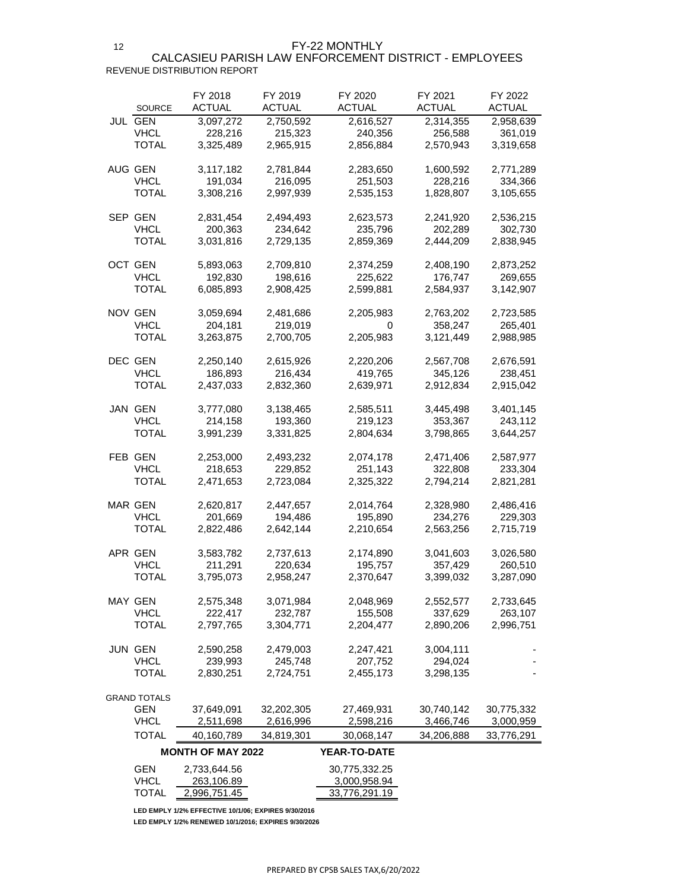FY-22 MONTHLY

### REVENUE DISTRIBUTION REPORT CALCASIEU PARISH LAW ENFORCEMENT DISTRICT - EMPLOYEES

| <b>SOURCE</b>       | FY 2018<br><b>ACTUAL</b> | FY 2019<br><b>ACTUAL</b> | FY 2020<br><b>ACTUAL</b> | FY 2021<br><b>ACTUAL</b> | FY 2022<br>ACTUAL |
|---------------------|--------------------------|--------------------------|--------------------------|--------------------------|-------------------|
| JUL GEN             | 3,097,272                | 2,750,592                | 2,616,527                | 2,314,355                | 2,958,639         |
| <b>VHCL</b>         | 228,216                  | 215,323                  | 240,356                  | 256,588                  | 361,019           |
| TOTAL               | 3,325,489                | 2,965,915                | 2,856,884                | 2,570,943                | 3,319,658         |
|                     |                          |                          |                          |                          |                   |
| AUG GEN             | 3,117,182                | 2,781,844                | 2,283,650                | 1,600,592                | 2,771,289         |
| <b>VHCL</b>         | 191,034                  | 216,095                  | 251,503                  | 228,216                  | 334,366           |
| <b>TOTAL</b>        | 3,308,216                | 2,997,939                | 2,535,153                | 1,828,807                | 3,105,655         |
|                     |                          |                          |                          |                          |                   |
| SEP GEN             | 2,831,454                | 2,494,493                | 2,623,573                | 2,241,920                | 2,536,215         |
| <b>VHCL</b>         | 200,363                  | 234,642                  | 235,796                  | 202,289                  | 302,730           |
| TOTAL               | 3,031,816                | 2,729,135                | 2,859,369                | 2,444,209                | 2,838,945         |
|                     |                          |                          |                          |                          |                   |
| OCT GEN             | 5,893,063                | 2,709,810                | 2,374,259                | 2,408,190                | 2,873,252         |
| <b>VHCL</b>         | 192,830                  | 198,616                  | 225,622                  | 176,747                  | 269,655           |
| TOTAL               | 6,085,893                | 2,908,425                | 2,599,881                | 2,584,937                | 3,142,907         |
|                     |                          |                          |                          |                          |                   |
| NOV GEN             | 3,059,694                | 2,481,686                | 2,205,983                | 2,763,202                | 2,723,585         |
| <b>VHCL</b>         | 204,181                  | 219,019                  | 0                        | 358,247                  | 265,401           |
| <b>TOTAL</b>        | 3,263,875                | 2,700,705                | 2,205,983                | 3,121,449                | 2,988,985         |
|                     |                          |                          |                          |                          |                   |
| DEC GEN             | 2,250,140                | 2,615,926                | 2,220,206                | 2,567,708                | 2,676,591         |
| <b>VHCL</b>         | 186,893                  |                          |                          |                          |                   |
| TOTAL               |                          | 216,434                  | 419,765                  | 345,126                  | 238,451           |
|                     | 2,437,033                | 2,832,360                | 2,639,971                | 2,912,834                | 2,915,042         |
| JAN GEN             | 3,777,080                | 3,138,465                | 2,585,511                | 3,445,498                | 3,401,145         |
| <b>VHCL</b>         |                          |                          |                          |                          |                   |
|                     | 214,158                  | 193,360                  | 219,123                  | 353,367                  | 243,112           |
| TOTAL               | 3,991,239                | 3,331,825                | 2,804,634                | 3,798,865                | 3,644,257         |
| FEB GEN             | 2,253,000                | 2,493,232                | 2,074,178                | 2,471,406                | 2,587,977         |
| <b>VHCL</b>         | 218,653                  | 229,852                  | 251,143                  | 322,808                  | 233,304           |
| TOTAL               | 2,471,653                | 2,723,084                | 2,325,322                | 2,794,214                | 2,821,281         |
|                     |                          |                          |                          |                          |                   |
| <b>MAR GEN</b>      | 2,620,817                | 2,447,657                | 2,014,764                | 2,328,980                | 2,486,416         |
| <b>VHCL</b>         | 201,669                  | 194,486                  | 195,890                  | 234,276                  | 229,303           |
| TOTAL               | 2,822,486                | 2,642,144                | 2,210,654                | 2,563,256                | 2,715,719         |
|                     |                          |                          |                          |                          |                   |
| APR GEN             | 3,583,782                | 2,737,613                | 2,174,890                | 3,041,603                | 3,026,580         |
| <b>VHCL</b>         | 211,291                  | 220,634                  | 195,757                  | 357,429                  | 260,510           |
| <b>TOTAL</b>        | 3,795,073                | 2,958,247                | 2,370,647                | 3,399,032                | 3,287,090         |
|                     |                          |                          |                          |                          |                   |
| <b>MAY GEN</b>      | 2,575,348                | 3,071,984                | 2,048,969                | 2,552,577                | 2,733,645         |
| <b>VHCL</b>         | 222,417                  | 232,787                  | 155,508                  | 337,629                  | 263,107           |
| TOTAL               | 2,797,765                | 3,304,771                | 2,204,477                | 2,890,206                | 2,996,751         |
|                     |                          |                          |                          |                          |                   |
| <b>JUN GEN</b>      | 2,590,258                | 2,479,003                | 2,247,421                | 3,004,111                |                   |
| <b>VHCL</b>         | 239,993                  | 245,748                  | 207,752                  | 294,024                  |                   |
| TOTAL               | 2,830,251                | 2,724,751                | 2,455,173                | 3,298,135                |                   |
|                     |                          |                          |                          |                          |                   |
| <b>GRAND TOTALS</b> |                          |                          |                          |                          |                   |
| <b>GEN</b>          | 37,649,091               | 32,202,305               | 27,469,931               | 30,740,142               | 30,775,332        |
| <b>VHCL</b>         | 2,511,698                | 2,616,996                | 2,598,216                | 3,466,746                | 3,000,959         |
| <b>TOTAL</b>        | 40,160,789               |                          |                          |                          |                   |
|                     |                          | 34,819,301               | 30,068,147               | 34,206,888               | 33,776,291        |
|                     | <b>MONTH OF MAY 2022</b> |                          | <b>YEAR-TO-DATE</b>      |                          |                   |
| GEN                 | 2,733,644.56             |                          | 30,775,332.25            |                          |                   |
| <b>VHCL</b>         | 263,106.89               |                          | 3,000,958.94             |                          |                   |
| TOTAL               | 2,996,751.45             |                          | 33,776,291.19            |                          |                   |

**LED EMPLY 1/2% EFFECTIVE 10/1/06; EXPIRES 9/30/2016**

**LED EMPLY 1/2% RENEWED 10/1/2016; EXPIRES 9/30/2026**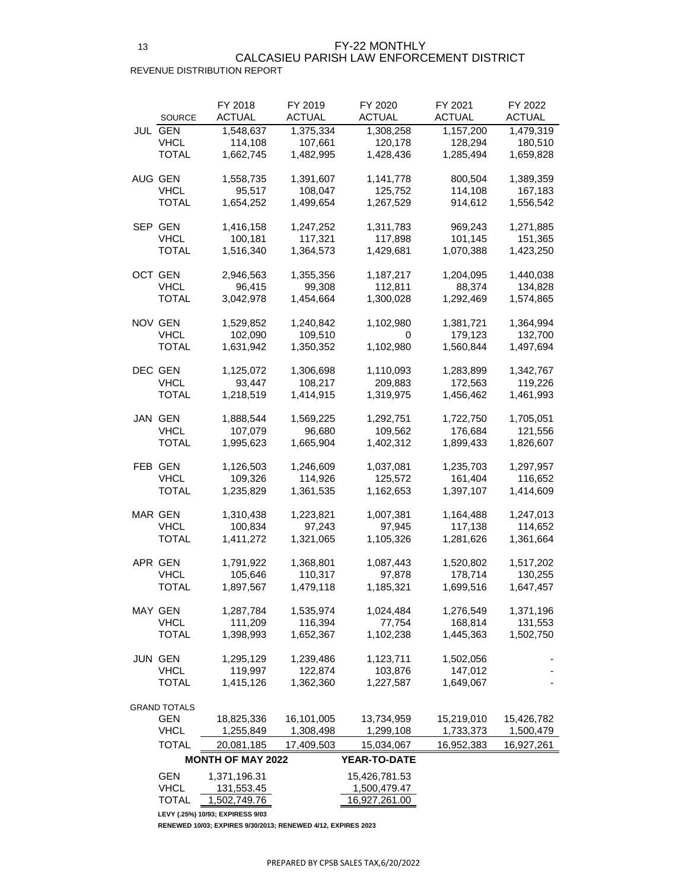## CALCASIEU PARISH LAW ENFORCEMENT DISTRICT

REVENUE DISTRIBUTION REPORT

| <b>SOURCE</b>       | FY 2018<br><b>ACTUAL</b> | FY 2019<br><b>ACTUAL</b> | FY 2020<br>ACTUAL | FY 2021<br><b>ACTUAL</b> | FY 2022<br><b>ACTUAL</b> |
|---------------------|--------------------------|--------------------------|-------------------|--------------------------|--------------------------|
| JUL GEN             | 1,548,637                | 1,375,334                | 1,308,258         | 1,157,200                | 1,479,319                |
| <b>VHCL</b>         | 114,108                  | 107,661                  | 120,178           | 128,294                  | 180,510                  |
| TOTAL               | 1,662,745                | 1,482,995                | 1,428,436         | 1,285,494                | 1,659,828                |
| AUG GEN             | 1,558,735                | 1,391,607                | 1,141,778         | 800,504                  | 1,389,359                |
| <b>VHCL</b>         | 95,517                   | 108,047                  | 125,752           | 114,108                  | 167,183                  |
| <b>TOTAL</b>        | 1,654,252                | 1,499,654                | 1,267,529         | 914,612                  | 1,556,542                |
| SEP GEN             | 1,416,158                | 1,247,252                | 1,311,783         | 969,243                  | 1,271,885                |
| VHCL                | 100,181                  | 117,321                  | 117,898           | 101,145                  | 151,365                  |
| TOTAL               | 1,516,340                | 1,364,573                | 1,429,681         | 1,070,388                | 1,423,250                |
| <b>OCT GEN</b>      | 2,946,563                | 1,355,356                | 1,187,217         | 1,204,095                | 1,440,038                |
| VHCL                | 96,415                   | 99,308                   | 112,811           | 88,374                   | 134,828                  |
| TOTAL               | 3,042,978                | 1,454,664                | 1,300,028         | 1,292,469                | 1,574,865                |
| NOV GEN             | 1,529,852                | 1,240,842                | 1,102,980         | 1,381,721                | 1,364,994                |
| <b>VHCL</b>         | 102,090                  | 109,510                  | 0                 | 179,123                  | 132,700                  |
| TOTAL               | 1,631,942                | 1,350,352                | 1,102,980         | 1,560,844                | 1,497,694                |
| DEC GEN             | 1,125,072                | 1,306,698                | 1,110,093         | 1,283,899                | 1,342,767                |
| <b>VHCL</b>         | 93,447                   | 108,217                  | 209,883           | 172,563                  | 119,226                  |
| TOTAL               | 1,218,519                | 1,414,915                | 1,319,975         | 1,456,462                | 1,461,993                |
| <b>JAN GEN</b>      | 1,888,544                | 1,569,225                | 1,292,751         | 1,722,750                | 1,705,051                |
| <b>VHCL</b>         | 107,079                  | 96,680                   | 109,562           | 176,684                  | 121,556                  |
| <b>TOTAL</b>        | 1,995,623                | 1,665,904                | 1,402,312         | 1,899,433                | 1,826,607                |
| FEB GEN             | 1,126,503                | 1,246,609                | 1,037,081         | 1,235,703                | 1,297,957                |
| <b>VHCL</b>         | 109,326                  | 114,926                  | 125,572           | 161,404                  | 116,652                  |
| <b>TOTAL</b>        | 1,235,829                | 1,361,535                | 1,162,653         | 1,397,107                | 1,414,609                |
| <b>MAR GEN</b>      | 1,310,438                | 1,223,821                | 1,007,381         | 1,164,488                | 1,247,013                |
| <b>VHCL</b>         | 100,834                  | 97,243                   | 97,945            | 117,138                  | 114,652                  |
| <b>TOTAL</b>        | 1,411,272                | 1,321,065                | 1,105,326         | 1,281,626                | 1,361,664                |
| APR GEN             | 1,791,922                | 1,368,801                | 1,087,443         | 1,520,802                | 1,517,202                |
| <b>VHCL</b>         | 105,646                  | 110,317                  | 97,878            | 178,714                  | 130,255                  |
| <b>TOTAL</b>        | 1,897,567                | 1,479,118                | 1,185,321         | 1,699,516                | 1,647,457                |
| <b>MAY GEN</b>      | 1,287,784                | 1,535,974                | 1,024,484         | 1,276,549                | 1,371,196                |
| <b>VHCL</b>         | 111,209                  | 116,394                  | 77,754            | 168,814                  | 131,553                  |
| <b>TOTAL</b>        | 1,398,993                | 1,652,367                | 1,102,238         | 1,445,363                | 1,502,750                |
| <b>JUN GEN</b>      | 1,295,129                | 1,239,486                | 1,123,711         | 1,502,056                |                          |
| <b>VHCL</b>         | 119,997                  | 122,874                  | 103,876           | 147,012                  |                          |
| <b>TOTAL</b>        | 1,415,126                | 1,362,360                | 1,227,587         | 1,649,067                |                          |
| <b>GRAND TOTALS</b> |                          |                          |                   |                          |                          |
| <b>GEN</b>          | 18,825,336               | 16,101,005               | 13,734,959        | 15,219,010               | 15,426,782               |
| <b>VHCL</b>         | 1,255,849                | 1,308,498                | 1,299,108         | 1,733,373                | 1,500,479                |
| <b>TOTAL</b>        | 20,081,185               | 17,409,503               | 15,034,067        | 16,952,383               | 16,927,261               |
|                     | <b>MONTH OF MAY 2022</b> |                          | YEAR-TO-DATE      |                          |                          |
| <b>GEN</b>          | 1,371,196.31             |                          | 15,426,781.53     |                          |                          |
| <b>VHCL</b>         | 131,553.45               |                          | 1,500,479.47      |                          |                          |
| <b>TOTAL</b>        | 1,502,749.76             |                          | 16,927,261.00     |                          |                          |

**LEVY (.25%) 10/93; EXPIRESS 9/03**

**RENEWED 10/03; EXPIRES 9/30/2013; RENEWED 4/12, EXPIRES 2023**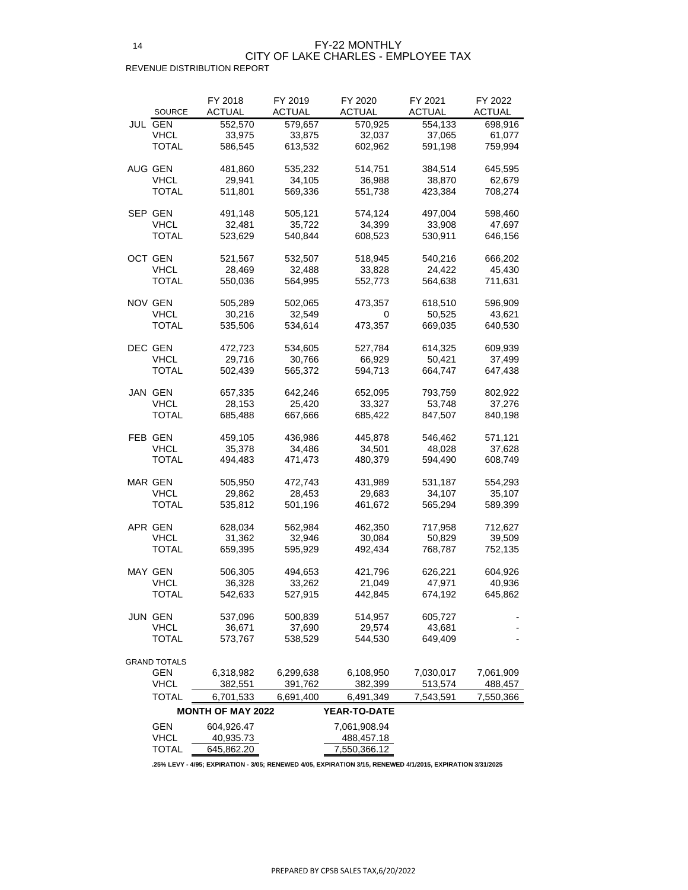| <b>ACTUAL</b><br><b>ACTUAL</b><br><b>ACTUAL</b><br><b>ACTUAL</b><br><b>ACTUAL</b><br><b>SOURCE</b><br><b>JUL GEN</b><br>552,570<br>579,657<br>554,133<br>570,925<br>698,916<br><b>VHCL</b><br>33,975<br>33,875<br>32,037<br>37,065<br>61,077<br>TOTAL<br>586,545<br>613,532<br>602,962<br>591,198<br>759,994<br>AUG GEN<br>481,860<br>535,232<br>384,514<br>514,751<br>645,595<br><b>VHCL</b><br>29,941<br>34,105<br>36,988<br>38,870<br>62,679<br>TOTAL<br>511,801<br>569,336<br>551,738<br>423,384<br>708,274<br>SEP GEN<br>598,460<br>491,148<br>505,121<br>574,124<br>497,004<br><b>VHCL</b><br>32,481<br>35,722<br>33,908<br>34,399<br>47,697<br><b>TOTAL</b><br>523,629<br>540,844<br>608,523<br>530,911<br>646,156<br><b>OCT GEN</b><br>666,202<br>521,567<br>532,507<br>518,945<br>540,216<br><b>VHCL</b><br>28,469<br>32,488<br>33,828<br>24,422<br>45,430<br>TOTAL<br>550,036<br>552,773<br>564,638<br>711,631<br>564,995<br>NOV GEN<br>505,289<br>502,065<br>473,357<br>618,510<br>596,909<br><b>VHCL</b><br>30,216<br>32,549<br>43,621<br>0<br>50,525<br>TOTAL<br>535,506<br>534,614<br>669,035<br>640,530<br>473,357<br>DEC GEN<br>614,325<br>609,939<br>472,723<br>534,605<br>527,784<br><b>VHCL</b><br>29,716<br>30,766<br>66,929<br>37,499<br>50,421<br>TOTAL<br>502,439<br>565,372<br>594,713<br>664,747<br>647,438<br>JAN GEN<br>657,335<br>642,246<br>652,095<br>793,759<br>802,922<br><b>VHCL</b><br>28,153<br>25,420<br>33,327<br>53,748<br>37,276<br>TOTAL<br>685,488<br>667,666<br>685,422<br>840,198<br>847,507<br>FEB GEN<br>459,105<br>436,986<br>445,878<br>546,462<br>571,121<br>35,378<br><b>VHCL</b><br>34,486<br>48,028<br>37,628<br>34,501<br>TOTAL<br>494,483<br>480,379<br>594,490<br>608,749<br>471,473<br>MAR GEN<br>505,950<br>472,743<br>431,989<br>531,187<br>554,293<br><b>VHCL</b><br>34,107<br>29,862<br>28,453<br>29,683<br>35,107<br><b>TOTAL</b><br>535,812<br>501,196<br>461,672<br>565,294<br>589,399<br>APR GEN<br>628,034<br>562,984<br>462,350<br>717,958<br>712,627<br><b>VHCL</b><br>31,362<br>32,946<br>30,084<br>39,509<br>50,829<br>TOTAL<br>659,395<br>595,929<br>492,434<br>768,787<br>752,135<br><b>MAY GEN</b><br>506,305<br>494,653<br>626,221<br>421,796<br>604,926<br><b>VHCL</b><br>36,328<br>33,262<br>47,971<br>21,049<br>40,936<br>TOTAL<br>542,633<br>527,915<br>674,192<br>645,862<br>442,845<br>JUN GEN<br>500,839<br>537,096<br>514,957<br>605,727<br><b>VHCL</b><br>37,690<br>29,574<br>36,671<br>43,681<br>TOTAL<br>573,767<br>649,409<br>538,529<br>544,530<br><b>GRAND TOTALS</b><br><b>GEN</b><br>6,318,982<br>6,299,638<br>6,108,950<br>7,030,017<br>7,061,909<br><b>VHCL</b><br>382,551<br>391,762<br>382,399<br>513,574<br>488,457 |       | FY 2018   | FY 2019   | FY 2020   | FY 2021   | FY 2022   |
|------------------------------------------------------------------------------------------------------------------------------------------------------------------------------------------------------------------------------------------------------------------------------------------------------------------------------------------------------------------------------------------------------------------------------------------------------------------------------------------------------------------------------------------------------------------------------------------------------------------------------------------------------------------------------------------------------------------------------------------------------------------------------------------------------------------------------------------------------------------------------------------------------------------------------------------------------------------------------------------------------------------------------------------------------------------------------------------------------------------------------------------------------------------------------------------------------------------------------------------------------------------------------------------------------------------------------------------------------------------------------------------------------------------------------------------------------------------------------------------------------------------------------------------------------------------------------------------------------------------------------------------------------------------------------------------------------------------------------------------------------------------------------------------------------------------------------------------------------------------------------------------------------------------------------------------------------------------------------------------------------------------------------------------------------------------------------------------------------------------------------------------------------------------------------------------------------------------------------------------------------------------------------------------------------------------------------------------------------------------------------------------------------------------------------------------------------------------------------------------------------------------------------------------------------------------------------------------------------------------------------------------------------------------------------------------------------------------|-------|-----------|-----------|-----------|-----------|-----------|
|                                                                                                                                                                                                                                                                                                                                                                                                                                                                                                                                                                                                                                                                                                                                                                                                                                                                                                                                                                                                                                                                                                                                                                                                                                                                                                                                                                                                                                                                                                                                                                                                                                                                                                                                                                                                                                                                                                                                                                                                                                                                                                                                                                                                                                                                                                                                                                                                                                                                                                                                                                                                                                                                                                                  |       |           |           |           |           |           |
|                                                                                                                                                                                                                                                                                                                                                                                                                                                                                                                                                                                                                                                                                                                                                                                                                                                                                                                                                                                                                                                                                                                                                                                                                                                                                                                                                                                                                                                                                                                                                                                                                                                                                                                                                                                                                                                                                                                                                                                                                                                                                                                                                                                                                                                                                                                                                                                                                                                                                                                                                                                                                                                                                                                  |       |           |           |           |           |           |
|                                                                                                                                                                                                                                                                                                                                                                                                                                                                                                                                                                                                                                                                                                                                                                                                                                                                                                                                                                                                                                                                                                                                                                                                                                                                                                                                                                                                                                                                                                                                                                                                                                                                                                                                                                                                                                                                                                                                                                                                                                                                                                                                                                                                                                                                                                                                                                                                                                                                                                                                                                                                                                                                                                                  |       |           |           |           |           |           |
|                                                                                                                                                                                                                                                                                                                                                                                                                                                                                                                                                                                                                                                                                                                                                                                                                                                                                                                                                                                                                                                                                                                                                                                                                                                                                                                                                                                                                                                                                                                                                                                                                                                                                                                                                                                                                                                                                                                                                                                                                                                                                                                                                                                                                                                                                                                                                                                                                                                                                                                                                                                                                                                                                                                  |       |           |           |           |           |           |
|                                                                                                                                                                                                                                                                                                                                                                                                                                                                                                                                                                                                                                                                                                                                                                                                                                                                                                                                                                                                                                                                                                                                                                                                                                                                                                                                                                                                                                                                                                                                                                                                                                                                                                                                                                                                                                                                                                                                                                                                                                                                                                                                                                                                                                                                                                                                                                                                                                                                                                                                                                                                                                                                                                                  |       |           |           |           |           |           |
|                                                                                                                                                                                                                                                                                                                                                                                                                                                                                                                                                                                                                                                                                                                                                                                                                                                                                                                                                                                                                                                                                                                                                                                                                                                                                                                                                                                                                                                                                                                                                                                                                                                                                                                                                                                                                                                                                                                                                                                                                                                                                                                                                                                                                                                                                                                                                                                                                                                                                                                                                                                                                                                                                                                  |       |           |           |           |           |           |
|                                                                                                                                                                                                                                                                                                                                                                                                                                                                                                                                                                                                                                                                                                                                                                                                                                                                                                                                                                                                                                                                                                                                                                                                                                                                                                                                                                                                                                                                                                                                                                                                                                                                                                                                                                                                                                                                                                                                                                                                                                                                                                                                                                                                                                                                                                                                                                                                                                                                                                                                                                                                                                                                                                                  |       |           |           |           |           |           |
|                                                                                                                                                                                                                                                                                                                                                                                                                                                                                                                                                                                                                                                                                                                                                                                                                                                                                                                                                                                                                                                                                                                                                                                                                                                                                                                                                                                                                                                                                                                                                                                                                                                                                                                                                                                                                                                                                                                                                                                                                                                                                                                                                                                                                                                                                                                                                                                                                                                                                                                                                                                                                                                                                                                  |       |           |           |           |           |           |
|                                                                                                                                                                                                                                                                                                                                                                                                                                                                                                                                                                                                                                                                                                                                                                                                                                                                                                                                                                                                                                                                                                                                                                                                                                                                                                                                                                                                                                                                                                                                                                                                                                                                                                                                                                                                                                                                                                                                                                                                                                                                                                                                                                                                                                                                                                                                                                                                                                                                                                                                                                                                                                                                                                                  |       |           |           |           |           |           |
|                                                                                                                                                                                                                                                                                                                                                                                                                                                                                                                                                                                                                                                                                                                                                                                                                                                                                                                                                                                                                                                                                                                                                                                                                                                                                                                                                                                                                                                                                                                                                                                                                                                                                                                                                                                                                                                                                                                                                                                                                                                                                                                                                                                                                                                                                                                                                                                                                                                                                                                                                                                                                                                                                                                  |       |           |           |           |           |           |
|                                                                                                                                                                                                                                                                                                                                                                                                                                                                                                                                                                                                                                                                                                                                                                                                                                                                                                                                                                                                                                                                                                                                                                                                                                                                                                                                                                                                                                                                                                                                                                                                                                                                                                                                                                                                                                                                                                                                                                                                                                                                                                                                                                                                                                                                                                                                                                                                                                                                                                                                                                                                                                                                                                                  |       |           |           |           |           |           |
|                                                                                                                                                                                                                                                                                                                                                                                                                                                                                                                                                                                                                                                                                                                                                                                                                                                                                                                                                                                                                                                                                                                                                                                                                                                                                                                                                                                                                                                                                                                                                                                                                                                                                                                                                                                                                                                                                                                                                                                                                                                                                                                                                                                                                                                                                                                                                                                                                                                                                                                                                                                                                                                                                                                  |       |           |           |           |           |           |
|                                                                                                                                                                                                                                                                                                                                                                                                                                                                                                                                                                                                                                                                                                                                                                                                                                                                                                                                                                                                                                                                                                                                                                                                                                                                                                                                                                                                                                                                                                                                                                                                                                                                                                                                                                                                                                                                                                                                                                                                                                                                                                                                                                                                                                                                                                                                                                                                                                                                                                                                                                                                                                                                                                                  |       |           |           |           |           |           |
|                                                                                                                                                                                                                                                                                                                                                                                                                                                                                                                                                                                                                                                                                                                                                                                                                                                                                                                                                                                                                                                                                                                                                                                                                                                                                                                                                                                                                                                                                                                                                                                                                                                                                                                                                                                                                                                                                                                                                                                                                                                                                                                                                                                                                                                                                                                                                                                                                                                                                                                                                                                                                                                                                                                  |       |           |           |           |           |           |
|                                                                                                                                                                                                                                                                                                                                                                                                                                                                                                                                                                                                                                                                                                                                                                                                                                                                                                                                                                                                                                                                                                                                                                                                                                                                                                                                                                                                                                                                                                                                                                                                                                                                                                                                                                                                                                                                                                                                                                                                                                                                                                                                                                                                                                                                                                                                                                                                                                                                                                                                                                                                                                                                                                                  |       |           |           |           |           |           |
|                                                                                                                                                                                                                                                                                                                                                                                                                                                                                                                                                                                                                                                                                                                                                                                                                                                                                                                                                                                                                                                                                                                                                                                                                                                                                                                                                                                                                                                                                                                                                                                                                                                                                                                                                                                                                                                                                                                                                                                                                                                                                                                                                                                                                                                                                                                                                                                                                                                                                                                                                                                                                                                                                                                  |       |           |           |           |           |           |
|                                                                                                                                                                                                                                                                                                                                                                                                                                                                                                                                                                                                                                                                                                                                                                                                                                                                                                                                                                                                                                                                                                                                                                                                                                                                                                                                                                                                                                                                                                                                                                                                                                                                                                                                                                                                                                                                                                                                                                                                                                                                                                                                                                                                                                                                                                                                                                                                                                                                                                                                                                                                                                                                                                                  |       |           |           |           |           |           |
|                                                                                                                                                                                                                                                                                                                                                                                                                                                                                                                                                                                                                                                                                                                                                                                                                                                                                                                                                                                                                                                                                                                                                                                                                                                                                                                                                                                                                                                                                                                                                                                                                                                                                                                                                                                                                                                                                                                                                                                                                                                                                                                                                                                                                                                                                                                                                                                                                                                                                                                                                                                                                                                                                                                  |       |           |           |           |           |           |
|                                                                                                                                                                                                                                                                                                                                                                                                                                                                                                                                                                                                                                                                                                                                                                                                                                                                                                                                                                                                                                                                                                                                                                                                                                                                                                                                                                                                                                                                                                                                                                                                                                                                                                                                                                                                                                                                                                                                                                                                                                                                                                                                                                                                                                                                                                                                                                                                                                                                                                                                                                                                                                                                                                                  |       |           |           |           |           |           |
|                                                                                                                                                                                                                                                                                                                                                                                                                                                                                                                                                                                                                                                                                                                                                                                                                                                                                                                                                                                                                                                                                                                                                                                                                                                                                                                                                                                                                                                                                                                                                                                                                                                                                                                                                                                                                                                                                                                                                                                                                                                                                                                                                                                                                                                                                                                                                                                                                                                                                                                                                                                                                                                                                                                  |       |           |           |           |           |           |
|                                                                                                                                                                                                                                                                                                                                                                                                                                                                                                                                                                                                                                                                                                                                                                                                                                                                                                                                                                                                                                                                                                                                                                                                                                                                                                                                                                                                                                                                                                                                                                                                                                                                                                                                                                                                                                                                                                                                                                                                                                                                                                                                                                                                                                                                                                                                                                                                                                                                                                                                                                                                                                                                                                                  |       |           |           |           |           |           |
|                                                                                                                                                                                                                                                                                                                                                                                                                                                                                                                                                                                                                                                                                                                                                                                                                                                                                                                                                                                                                                                                                                                                                                                                                                                                                                                                                                                                                                                                                                                                                                                                                                                                                                                                                                                                                                                                                                                                                                                                                                                                                                                                                                                                                                                                                                                                                                                                                                                                                                                                                                                                                                                                                                                  |       |           |           |           |           |           |
|                                                                                                                                                                                                                                                                                                                                                                                                                                                                                                                                                                                                                                                                                                                                                                                                                                                                                                                                                                                                                                                                                                                                                                                                                                                                                                                                                                                                                                                                                                                                                                                                                                                                                                                                                                                                                                                                                                                                                                                                                                                                                                                                                                                                                                                                                                                                                                                                                                                                                                                                                                                                                                                                                                                  |       |           |           |           |           |           |
|                                                                                                                                                                                                                                                                                                                                                                                                                                                                                                                                                                                                                                                                                                                                                                                                                                                                                                                                                                                                                                                                                                                                                                                                                                                                                                                                                                                                                                                                                                                                                                                                                                                                                                                                                                                                                                                                                                                                                                                                                                                                                                                                                                                                                                                                                                                                                                                                                                                                                                                                                                                                                                                                                                                  |       |           |           |           |           |           |
|                                                                                                                                                                                                                                                                                                                                                                                                                                                                                                                                                                                                                                                                                                                                                                                                                                                                                                                                                                                                                                                                                                                                                                                                                                                                                                                                                                                                                                                                                                                                                                                                                                                                                                                                                                                                                                                                                                                                                                                                                                                                                                                                                                                                                                                                                                                                                                                                                                                                                                                                                                                                                                                                                                                  |       |           |           |           |           |           |
|                                                                                                                                                                                                                                                                                                                                                                                                                                                                                                                                                                                                                                                                                                                                                                                                                                                                                                                                                                                                                                                                                                                                                                                                                                                                                                                                                                                                                                                                                                                                                                                                                                                                                                                                                                                                                                                                                                                                                                                                                                                                                                                                                                                                                                                                                                                                                                                                                                                                                                                                                                                                                                                                                                                  |       |           |           |           |           |           |
|                                                                                                                                                                                                                                                                                                                                                                                                                                                                                                                                                                                                                                                                                                                                                                                                                                                                                                                                                                                                                                                                                                                                                                                                                                                                                                                                                                                                                                                                                                                                                                                                                                                                                                                                                                                                                                                                                                                                                                                                                                                                                                                                                                                                                                                                                                                                                                                                                                                                                                                                                                                                                                                                                                                  |       |           |           |           |           |           |
|                                                                                                                                                                                                                                                                                                                                                                                                                                                                                                                                                                                                                                                                                                                                                                                                                                                                                                                                                                                                                                                                                                                                                                                                                                                                                                                                                                                                                                                                                                                                                                                                                                                                                                                                                                                                                                                                                                                                                                                                                                                                                                                                                                                                                                                                                                                                                                                                                                                                                                                                                                                                                                                                                                                  |       |           |           |           |           |           |
|                                                                                                                                                                                                                                                                                                                                                                                                                                                                                                                                                                                                                                                                                                                                                                                                                                                                                                                                                                                                                                                                                                                                                                                                                                                                                                                                                                                                                                                                                                                                                                                                                                                                                                                                                                                                                                                                                                                                                                                                                                                                                                                                                                                                                                                                                                                                                                                                                                                                                                                                                                                                                                                                                                                  |       |           |           |           |           |           |
|                                                                                                                                                                                                                                                                                                                                                                                                                                                                                                                                                                                                                                                                                                                                                                                                                                                                                                                                                                                                                                                                                                                                                                                                                                                                                                                                                                                                                                                                                                                                                                                                                                                                                                                                                                                                                                                                                                                                                                                                                                                                                                                                                                                                                                                                                                                                                                                                                                                                                                                                                                                                                                                                                                                  |       |           |           |           |           |           |
|                                                                                                                                                                                                                                                                                                                                                                                                                                                                                                                                                                                                                                                                                                                                                                                                                                                                                                                                                                                                                                                                                                                                                                                                                                                                                                                                                                                                                                                                                                                                                                                                                                                                                                                                                                                                                                                                                                                                                                                                                                                                                                                                                                                                                                                                                                                                                                                                                                                                                                                                                                                                                                                                                                                  |       |           |           |           |           |           |
|                                                                                                                                                                                                                                                                                                                                                                                                                                                                                                                                                                                                                                                                                                                                                                                                                                                                                                                                                                                                                                                                                                                                                                                                                                                                                                                                                                                                                                                                                                                                                                                                                                                                                                                                                                                                                                                                                                                                                                                                                                                                                                                                                                                                                                                                                                                                                                                                                                                                                                                                                                                                                                                                                                                  |       |           |           |           |           |           |
|                                                                                                                                                                                                                                                                                                                                                                                                                                                                                                                                                                                                                                                                                                                                                                                                                                                                                                                                                                                                                                                                                                                                                                                                                                                                                                                                                                                                                                                                                                                                                                                                                                                                                                                                                                                                                                                                                                                                                                                                                                                                                                                                                                                                                                                                                                                                                                                                                                                                                                                                                                                                                                                                                                                  |       |           |           |           |           |           |
|                                                                                                                                                                                                                                                                                                                                                                                                                                                                                                                                                                                                                                                                                                                                                                                                                                                                                                                                                                                                                                                                                                                                                                                                                                                                                                                                                                                                                                                                                                                                                                                                                                                                                                                                                                                                                                                                                                                                                                                                                                                                                                                                                                                                                                                                                                                                                                                                                                                                                                                                                                                                                                                                                                                  |       |           |           |           |           |           |
|                                                                                                                                                                                                                                                                                                                                                                                                                                                                                                                                                                                                                                                                                                                                                                                                                                                                                                                                                                                                                                                                                                                                                                                                                                                                                                                                                                                                                                                                                                                                                                                                                                                                                                                                                                                                                                                                                                                                                                                                                                                                                                                                                                                                                                                                                                                                                                                                                                                                                                                                                                                                                                                                                                                  |       |           |           |           |           |           |
|                                                                                                                                                                                                                                                                                                                                                                                                                                                                                                                                                                                                                                                                                                                                                                                                                                                                                                                                                                                                                                                                                                                                                                                                                                                                                                                                                                                                                                                                                                                                                                                                                                                                                                                                                                                                                                                                                                                                                                                                                                                                                                                                                                                                                                                                                                                                                                                                                                                                                                                                                                                                                                                                                                                  |       |           |           |           |           |           |
|                                                                                                                                                                                                                                                                                                                                                                                                                                                                                                                                                                                                                                                                                                                                                                                                                                                                                                                                                                                                                                                                                                                                                                                                                                                                                                                                                                                                                                                                                                                                                                                                                                                                                                                                                                                                                                                                                                                                                                                                                                                                                                                                                                                                                                                                                                                                                                                                                                                                                                                                                                                                                                                                                                                  |       |           |           |           |           |           |
|                                                                                                                                                                                                                                                                                                                                                                                                                                                                                                                                                                                                                                                                                                                                                                                                                                                                                                                                                                                                                                                                                                                                                                                                                                                                                                                                                                                                                                                                                                                                                                                                                                                                                                                                                                                                                                                                                                                                                                                                                                                                                                                                                                                                                                                                                                                                                                                                                                                                                                                                                                                                                                                                                                                  |       |           |           |           |           |           |
|                                                                                                                                                                                                                                                                                                                                                                                                                                                                                                                                                                                                                                                                                                                                                                                                                                                                                                                                                                                                                                                                                                                                                                                                                                                                                                                                                                                                                                                                                                                                                                                                                                                                                                                                                                                                                                                                                                                                                                                                                                                                                                                                                                                                                                                                                                                                                                                                                                                                                                                                                                                                                                                                                                                  |       |           |           |           |           |           |
|                                                                                                                                                                                                                                                                                                                                                                                                                                                                                                                                                                                                                                                                                                                                                                                                                                                                                                                                                                                                                                                                                                                                                                                                                                                                                                                                                                                                                                                                                                                                                                                                                                                                                                                                                                                                                                                                                                                                                                                                                                                                                                                                                                                                                                                                                                                                                                                                                                                                                                                                                                                                                                                                                                                  |       |           |           |           |           |           |
|                                                                                                                                                                                                                                                                                                                                                                                                                                                                                                                                                                                                                                                                                                                                                                                                                                                                                                                                                                                                                                                                                                                                                                                                                                                                                                                                                                                                                                                                                                                                                                                                                                                                                                                                                                                                                                                                                                                                                                                                                                                                                                                                                                                                                                                                                                                                                                                                                                                                                                                                                                                                                                                                                                                  |       |           |           |           |           |           |
|                                                                                                                                                                                                                                                                                                                                                                                                                                                                                                                                                                                                                                                                                                                                                                                                                                                                                                                                                                                                                                                                                                                                                                                                                                                                                                                                                                                                                                                                                                                                                                                                                                                                                                                                                                                                                                                                                                                                                                                                                                                                                                                                                                                                                                                                                                                                                                                                                                                                                                                                                                                                                                                                                                                  |       |           |           |           |           |           |
|                                                                                                                                                                                                                                                                                                                                                                                                                                                                                                                                                                                                                                                                                                                                                                                                                                                                                                                                                                                                                                                                                                                                                                                                                                                                                                                                                                                                                                                                                                                                                                                                                                                                                                                                                                                                                                                                                                                                                                                                                                                                                                                                                                                                                                                                                                                                                                                                                                                                                                                                                                                                                                                                                                                  |       |           |           |           |           |           |
|                                                                                                                                                                                                                                                                                                                                                                                                                                                                                                                                                                                                                                                                                                                                                                                                                                                                                                                                                                                                                                                                                                                                                                                                                                                                                                                                                                                                                                                                                                                                                                                                                                                                                                                                                                                                                                                                                                                                                                                                                                                                                                                                                                                                                                                                                                                                                                                                                                                                                                                                                                                                                                                                                                                  |       |           |           |           |           |           |
|                                                                                                                                                                                                                                                                                                                                                                                                                                                                                                                                                                                                                                                                                                                                                                                                                                                                                                                                                                                                                                                                                                                                                                                                                                                                                                                                                                                                                                                                                                                                                                                                                                                                                                                                                                                                                                                                                                                                                                                                                                                                                                                                                                                                                                                                                                                                                                                                                                                                                                                                                                                                                                                                                                                  |       |           |           |           |           |           |
|                                                                                                                                                                                                                                                                                                                                                                                                                                                                                                                                                                                                                                                                                                                                                                                                                                                                                                                                                                                                                                                                                                                                                                                                                                                                                                                                                                                                                                                                                                                                                                                                                                                                                                                                                                                                                                                                                                                                                                                                                                                                                                                                                                                                                                                                                                                                                                                                                                                                                                                                                                                                                                                                                                                  |       |           |           |           |           |           |
|                                                                                                                                                                                                                                                                                                                                                                                                                                                                                                                                                                                                                                                                                                                                                                                                                                                                                                                                                                                                                                                                                                                                                                                                                                                                                                                                                                                                                                                                                                                                                                                                                                                                                                                                                                                                                                                                                                                                                                                                                                                                                                                                                                                                                                                                                                                                                                                                                                                                                                                                                                                                                                                                                                                  |       |           |           |           |           |           |
|                                                                                                                                                                                                                                                                                                                                                                                                                                                                                                                                                                                                                                                                                                                                                                                                                                                                                                                                                                                                                                                                                                                                                                                                                                                                                                                                                                                                                                                                                                                                                                                                                                                                                                                                                                                                                                                                                                                                                                                                                                                                                                                                                                                                                                                                                                                                                                                                                                                                                                                                                                                                                                                                                                                  |       |           |           |           |           |           |
|                                                                                                                                                                                                                                                                                                                                                                                                                                                                                                                                                                                                                                                                                                                                                                                                                                                                                                                                                                                                                                                                                                                                                                                                                                                                                                                                                                                                                                                                                                                                                                                                                                                                                                                                                                                                                                                                                                                                                                                                                                                                                                                                                                                                                                                                                                                                                                                                                                                                                                                                                                                                                                                                                                                  |       |           |           |           |           |           |
|                                                                                                                                                                                                                                                                                                                                                                                                                                                                                                                                                                                                                                                                                                                                                                                                                                                                                                                                                                                                                                                                                                                                                                                                                                                                                                                                                                                                                                                                                                                                                                                                                                                                                                                                                                                                                                                                                                                                                                                                                                                                                                                                                                                                                                                                                                                                                                                                                                                                                                                                                                                                                                                                                                                  |       |           |           |           |           |           |
|                                                                                                                                                                                                                                                                                                                                                                                                                                                                                                                                                                                                                                                                                                                                                                                                                                                                                                                                                                                                                                                                                                                                                                                                                                                                                                                                                                                                                                                                                                                                                                                                                                                                                                                                                                                                                                                                                                                                                                                                                                                                                                                                                                                                                                                                                                                                                                                                                                                                                                                                                                                                                                                                                                                  |       |           |           |           |           |           |
|                                                                                                                                                                                                                                                                                                                                                                                                                                                                                                                                                                                                                                                                                                                                                                                                                                                                                                                                                                                                                                                                                                                                                                                                                                                                                                                                                                                                                                                                                                                                                                                                                                                                                                                                                                                                                                                                                                                                                                                                                                                                                                                                                                                                                                                                                                                                                                                                                                                                                                                                                                                                                                                                                                                  |       |           |           |           |           |           |
|                                                                                                                                                                                                                                                                                                                                                                                                                                                                                                                                                                                                                                                                                                                                                                                                                                                                                                                                                                                                                                                                                                                                                                                                                                                                                                                                                                                                                                                                                                                                                                                                                                                                                                                                                                                                                                                                                                                                                                                                                                                                                                                                                                                                                                                                                                                                                                                                                                                                                                                                                                                                                                                                                                                  | TOTAL | 6,701,533 | 6,691,400 | 6,491,349 | 7,543,591 | 7,550,366 |

|              | <b>MONTH OF MAY 2022</b> | <b>YEAR-TO-DATE</b> |
|--------------|--------------------------|---------------------|
| <b>GEN</b>   | 604,926.47               | 7,061,908.94        |
| <b>VHCL</b>  | 40,935.73                | 488,457.18          |
| <b>TOTAL</b> | 645,862.20               | 7,550,366.12        |

**.25% LEVY - 4/95; EXPIRATION - 3/05; RENEWED 4/05, EXPIRATION 3/15, RENEWED 4/1/2015, EXPIRATION 3/31/2025**

## CITY OF LAKE CHARLES - EMPLOYEE TAX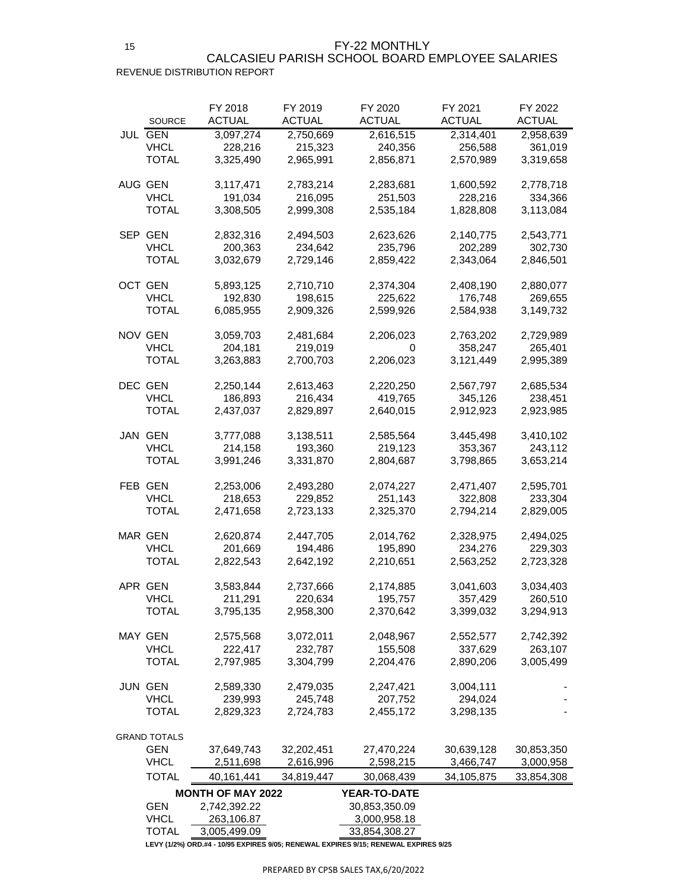FY-22 MONTHLY

## REVENUE DISTRIBUTION REPORT CALCASIEU PARISH SCHOOL BOARD EMPLOYEE SALARIES

|     | <b>SOURCE</b>                     | FY 2018<br><b>ACTUAL</b> | FY 2019<br>ACTUAL       | FY 2020<br><b>ACTUAL</b> | FY 2021<br><b>ACTUAL</b> | FY 2022<br>ACTUAL       |
|-----|-----------------------------------|--------------------------|-------------------------|--------------------------|--------------------------|-------------------------|
|     | JUL GEN<br><b>VHCL</b>            | 3,097,274<br>228,216     | 2,750,669<br>215,323    | 2,616,515<br>240,356     | 2,314,401<br>256,588     | 2,958,639<br>361,019    |
|     | TOTAL                             | 3,325,490                | 2,965,991               | 2,856,871                | 2,570,989                | 3,319,658               |
|     | AUG GEN                           | 3,117,471                | 2,783,214               | 2,283,681                | 1,600,592                | 2,778,718               |
|     | VHCL<br>TOTAL                     | 191,034<br>3,308,505     | 216,095<br>2,999,308    | 251,503<br>2,535,184     | 228,216<br>1,828,808     | 334,366<br>3,113,084    |
|     | SEP GEN<br><b>VHCL</b>            | 2,832,316                | 2,494,503               | 2,623,626                | 2,140,775                | 2,543,771               |
|     | TOTAL                             | 200,363<br>3,032,679     | 234,642<br>2,729,146    | 235,796<br>2,859,422     | 202,289<br>2,343,064     | 302,730<br>2,846,501    |
|     | OCT GEN<br>VHCL                   | 5,893,125<br>192,830     | 2,710,710<br>198,615    | 2,374,304<br>225,622     | 2,408,190<br>176,748     | 2,880,077<br>269,655    |
|     | TOTAL                             | 6,085,955                | 2,909,326               | 2,599,926                | 2,584,938                | 3,149,732               |
|     | <b>NOV GEN</b><br><b>VHCL</b>     | 3,059,703<br>204,181     | 2,481,684<br>219,019    | 2,206,023<br>0           | 2,763,202<br>358,247     | 2,729,989<br>265,401    |
|     | TOTAL                             | 3,263,883                | 2,700,703               | 2,206,023                | 3,121,449                | 2,995,389               |
|     | DEC GEN                           | 2,250,144                | 2,613,463               | 2,220,250                | 2,567,797                | 2,685,534               |
|     | <b>VHCL</b><br>TOTAL              | 186,893<br>2,437,037     | 216,434<br>2,829,897    | 419,765<br>2,640,015     | 345,126<br>2,912,923     | 238,451<br>2,923,985    |
|     | <b>JAN GEN</b>                    | 3,777,088                | 3,138,511               | 2,585,564                | 3,445,498                | 3,410,102               |
|     | <b>VHCL</b><br>TOTAL              | 214,158<br>3,991,246     | 193,360<br>3,331,870    | 219,123<br>2,804,687     | 353,367<br>3,798,865     | 243,112<br>3,653,214    |
|     | <b>FEB GEN</b>                    | 2,253,006                | 2,493,280               | 2,074,227                | 2,471,407                | 2,595,701               |
|     | <b>VHCL</b><br><b>TOTAL</b>       | 218,653<br>2,471,658     | 229,852                 | 251,143                  | 322,808                  | 233,304                 |
|     |                                   |                          | 2,723,133               | 2,325,370                | 2,794,214                | 2,829,005               |
|     | <b>MAR GEN</b>                    | 2,620,874                | 2,447,705               | 2,014,762                | 2,328,975                | 2,494,025               |
|     | <b>VHCL</b><br>TOTAL              | 201,669<br>2,822,543     | 194,486<br>2,642,192    | 195,890<br>2,210,651     | 234,276<br>2,563,252     | 229,303<br>2,723,328    |
|     |                                   |                          |                         |                          |                          |                         |
|     | APR GEN                           | 3,583,844                | 2,737,666               | 2,174,885                | 3,041,603                | 3,034,403               |
|     | <b>VHCL</b><br><b>TOTAL</b>       | 211,291<br>3,795,135     | 220,634<br>2,958,300    | 195,757<br>2,370,642     | 357,429<br>3,399,032     | 260,510<br>3,294,913    |
|     | MAY GEN                           | 2,575,568                | 3,072,011               | 2,048,967                | 2,552,577                | 2,742,392               |
|     | <b>VHCL</b>                       | 222,417                  | 232,787                 | 155,508                  | 337,629                  | 263,107                 |
|     | <b>TOTAL</b>                      | 2,797,985                | 3,304,799               | 2,204,476                | 2,890,206                | 3,005,499               |
| JUN | <b>GEN</b>                        | 2,589,330                | 2,479,035               | 2,247,421                | 3,004,111                |                         |
|     | <b>VHCL</b><br>TOTAL              | 239,993<br>2,829,323     | 245,748<br>2,724,783    | 207,752<br>2,455,172     | 294,024<br>3,298,135     |                         |
|     |                                   |                          |                         |                          |                          |                         |
|     | <b>GRAND TOTALS</b><br><b>GEN</b> |                          |                         |                          |                          |                         |
|     | <b>VHCL</b>                       | 37,649,743<br>2,511,698  | 32,202,451<br>2,616,996 | 27,470,224<br>2,598,215  | 30,639,128<br>3,466,747  | 30,853,350<br>3,000,958 |
|     | TOTAL                             | 40,161,441               | 34,819,447              | 30,068,439               | 34,105,875               | 33,854,308              |
|     |                                   | <b>MONTH OF MAY 2022</b> |                         | <b>YEAR-TO-DATE</b>      |                          |                         |
|     | <b>GEN</b>                        | 2,742,392.22             |                         | 30,853,350.09            |                          |                         |
|     | <b>VHCL</b>                       | 263,106.87               |                         | 3,000,958.18             |                          |                         |
|     | TOTAL                             | 3,005,499.09             |                         | 33,854,308.27            |                          |                         |

**LEVY (1/2%) ORD.#4 - 10/95 EXPIRES 9/05; RENEWAL EXPIRES 9/15; RENEWAL EXPIRES 9/25**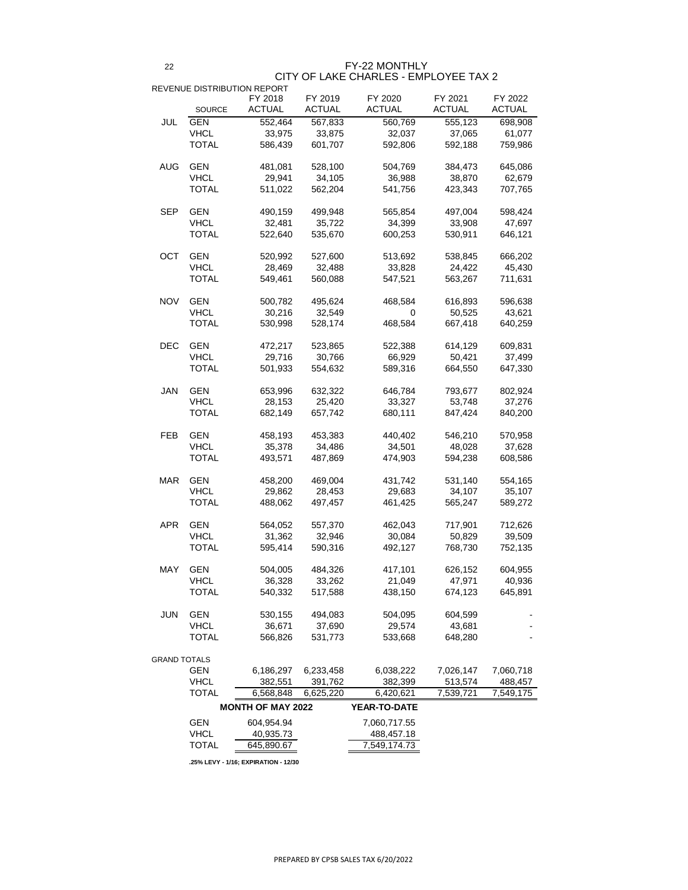22

|            | <b>SOURCE</b>                     | FY 2018<br><b>ACTUAL</b> | FY 2019<br><b>ACTUAL</b> | FY 2020<br><b>ACTUAL</b> | FY 2021<br><b>ACTUAL</b> | FY 2022<br><b>ACTUAL</b> |
|------------|-----------------------------------|--------------------------|--------------------------|--------------------------|--------------------------|--------------------------|
| <b>JUL</b> | <b>GEN</b>                        |                          |                          |                          |                          |                          |
|            | <b>VHCL</b>                       | 552,464                  | 567,833                  | 560,769                  | 555,123                  | 698,908<br>61,077        |
|            | <b>TOTAL</b>                      | 33,975                   | 33,875                   | 32,037                   | 37,065                   |                          |
|            |                                   | 586,439                  | 601,707                  | 592,806                  | 592,188                  | 759,986                  |
| <b>AUG</b> | <b>GEN</b>                        | 481,081                  | 528,100                  | 504,769                  | 384,473                  | 645,086                  |
|            | <b>VHCL</b>                       | 29,941                   | 34,105                   | 36,988                   | 38,870                   | 62,679                   |
|            | <b>TOTAL</b>                      | 511,022                  | 562,204                  | 541,756                  | 423,343                  | 707,765                  |
| SEP        | <b>GEN</b>                        | 490,159                  | 499,948                  | 565,854                  | 497,004                  | 598,424                  |
|            | <b>VHCL</b>                       | 32,481                   | 35,722                   | 34,399                   | 33,908                   | 47,697                   |
|            | <b>TOTAL</b>                      | 522,640                  | 535,670                  | 600,253                  | 530,911                  | 646,121                  |
| <b>OCT</b> | <b>GEN</b>                        | 520,992                  | 527,600                  | 513,692                  | 538,845                  | 666,202                  |
|            | <b>VHCL</b>                       | 28,469                   | 32,488                   | 33,828                   | 24,422                   | 45,430                   |
|            | <b>TOTAL</b>                      |                          |                          |                          |                          |                          |
|            |                                   | 549,461                  | 560,088                  | 547,521                  | 563,267                  | 711,631                  |
| <b>NOV</b> | <b>GEN</b>                        | 500,782                  | 495,624                  | 468,584                  | 616,893                  | 596,638                  |
|            | <b>VHCL</b>                       | 30,216                   | 32,549                   | 0                        | 50,525                   | 43,621                   |
|            | <b>TOTAL</b>                      | 530,998                  | 528,174                  | 468,584                  | 667,418                  | 640,259                  |
| <b>DEC</b> | <b>GEN</b>                        | 472,217                  | 523,865                  | 522,388                  | 614,129                  | 609,831                  |
|            | <b>VHCL</b>                       | 29,716                   | 30,766                   | 66,929                   | 50,421                   | 37,499                   |
|            | <b>TOTAL</b>                      | 501,933                  | 554,632                  | 589,316                  | 664,550                  | 647,330                  |
| <b>JAN</b> | <b>GEN</b>                        | 653,996                  | 632,322                  | 646,784                  | 793,677                  | 802,924                  |
|            | <b>VHCL</b>                       | 28,153                   | 25,420                   | 33,327                   | 53,748                   | 37,276                   |
|            | TOTAL                             | 682,149                  | 657,742                  | 680,111                  | 847,424                  | 840,200                  |
| <b>FEB</b> | <b>GEN</b>                        | 458,193                  | 453,383                  | 440,402                  | 546,210                  | 570,958                  |
|            | <b>VHCL</b>                       | 35,378                   | 34,486                   | 34,501                   | 48,028                   | 37,628                   |
|            | <b>TOTAL</b>                      | 493,571                  | 487,869                  | 474,903                  | 594,238                  | 608,586                  |
|            |                                   |                          |                          |                          |                          |                          |
| <b>MAR</b> | <b>GEN</b>                        | 458,200                  | 469,004                  | 431,742                  | 531,140                  | 554,165                  |
|            | <b>VHCL</b>                       | 29,862                   | 28,453                   | 29,683                   | 34,107                   | 35,107                   |
|            | <b>TOTAL</b>                      | 488,062                  | 497,457                  | 461,425                  | 565,247                  | 589,272                  |
| <b>APR</b> | <b>GEN</b>                        | 564,052                  | 557,370                  | 462,043                  | 717,901                  | 712,626                  |
|            | <b>VHCL</b>                       | 31,362                   | 32,946                   | 30,084                   | 50,829                   | 39,509                   |
|            | <b>TOTAL</b>                      | 595,414                  | 590,316                  | 492,127                  | 768,730                  | 752,135                  |
| <b>MAY</b> | <b>GEN</b>                        | 504,005                  | 484,326                  | 417,101                  | 626,152                  | 604,955                  |
|            | <b>VHCL</b>                       | 36,328                   | 33,262                   | 21,049                   | 47,971                   | 40,936                   |
|            | <b>TOTAL</b>                      | 540,332                  | 517,588                  | 438,150                  | 674,123                  | 645,891                  |
| <b>JUN</b> | <b>GEN</b>                        | 530,155                  | 494,083                  | 504,095                  | 604,599                  |                          |
|            | <b>VHCL</b>                       | 36,671                   | 37,690                   | 29,574                   | 43,681                   |                          |
|            | <b>TOTAL</b>                      | 566,826                  | 531,773                  | 533,668                  | 648,280                  |                          |
|            |                                   |                          |                          |                          |                          |                          |
|            | <b>GRAND TOTALS</b><br><b>GEN</b> | 6,186,297                | 6,233,458                | 6,038,222                | 7,026,147                | 7,060,718                |
|            |                                   |                          |                          |                          |                          |                          |

| <b>VHCL</b>  | 382,551                  | 391,762   | 382,399             | 513,574   | 488,457   |
|--------------|--------------------------|-----------|---------------------|-----------|-----------|
| <b>TOTAL</b> | 6,568,848                | 6,625,220 | 6,420,621           | 7,539,721 | 7,549,175 |
|              | <b>MONTH OF MAY 2022</b> |           | <b>YEAR-TO-DATE</b> |           |           |
| <b>GEN</b>   | 604,954.94               |           | 7,060,717.55        |           |           |
| <b>VHCL</b>  | 40,935.73                |           | 488,457.18          |           |           |
| <b>TOTAL</b> | 645,890.67               |           | 7,549,174.73        |           |           |
|              |                          |           |                     |           |           |

**.25% LEVY - 1/16; EXPIRATION - 12/30**

FY-22 MONTHLY

# CITY OF LAKE CHARLES - EMPLOYEE TAX 2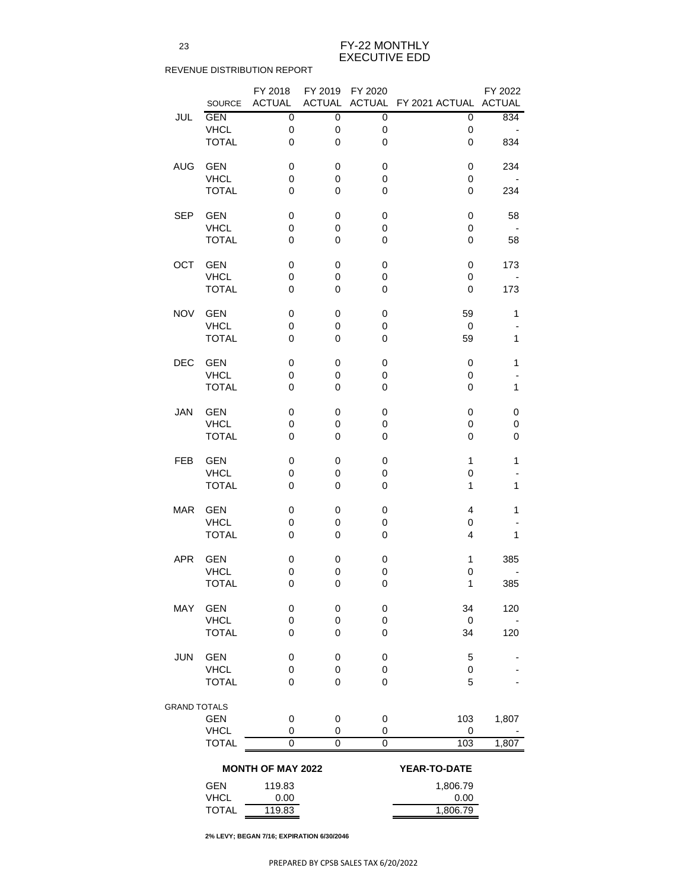|                     |                           | FY 2018                    | FY 2019          | FY 2020                    |                              | FY 2022      |
|---------------------|---------------------------|----------------------------|------------------|----------------------------|------------------------------|--------------|
|                     | <b>SOURCE</b>             | <b>ACTUAL</b>              | <b>ACTUAL</b>    |                            | ACTUAL FY 2021 ACTUAL ACTUAL |              |
| JUL                 | <b>GEN</b>                | $\mathbf 0$                | $\mathbf 0$      | $\mathbf 0$                | $\pmb{0}$                    | 834          |
|                     | <b>VHCL</b>               | $\mathbf 0$                | $\mathbf 0$      | $\mathbf 0$                | $\mathbf 0$                  |              |
|                     | <b>TOTAL</b>              | $\mathbf 0$                | $\mathbf 0$      | $\mathbf 0$                | $\overline{0}$               | 834          |
|                     |                           |                            |                  |                            |                              |              |
| <b>AUG</b>          | <b>GEN</b>                | $\mathbf 0$                | $\mathbf 0$      | $\mathbf 0$                | 0                            | 234          |
|                     | <b>VHCL</b>               | $\mathbf 0$                | $\mathbf 0$      | $\mathbf 0$                | $\mathbf 0$                  |              |
|                     | <b>TOTAL</b>              | $\mathbf 0$                | $\mathbf 0$      | $\overline{0}$             | $\mathbf 0$                  | 234          |
|                     |                           |                            |                  |                            |                              |              |
| <b>SEP</b>          | <b>GEN</b>                | $\mathbf 0$                | 0                | $\mathbf 0$                | $\mathbf 0$                  | 58           |
|                     | <b>VHCL</b>               | $\mathbf 0$                | $\mathbf 0$      | 0                          | $\mathbf 0$                  |              |
|                     | <b>TOTAL</b>              | $\mathbf 0$                | $\mathbf 0$      | $\mathbf 0$                | $\mathbf 0$                  | 58           |
|                     |                           |                            |                  |                            |                              |              |
| OCT                 | <b>GEN</b>                | $\mathbf 0$                | 0                | $\mathbf 0$                | $\overline{0}$               | 173          |
|                     | <b>VHCL</b>               | $\mathbf 0$                | $\boldsymbol{0}$ | 0                          | $\overline{0}$               |              |
|                     | <b>TOTAL</b>              | $\overline{0}$             | $\mathbf 0$      | 0                          | $\overline{0}$               | 173          |
|                     |                           |                            |                  |                            |                              |              |
| <b>NOV</b>          | <b>GEN</b>                | $\mathbf 0$                | 0                | $\mathbf 0$                | 59                           | 1            |
|                     | <b>VHCL</b>               | $\mathbf 0$                | $\mathbf 0$      | $\mathbf 0$                | $\mathbf 0$                  |              |
|                     | <b>TOTAL</b>              | $\overline{0}$             | $\overline{0}$   | 0                          | 59                           | $\mathbf{1}$ |
| <b>DEC</b>          | <b>GEN</b>                | $\mathbf 0$                | 0                | $\mathbf 0$                | $\mathbf 0$                  | 1            |
|                     | <b>VHCL</b>               | $\mathbf 0$                | $\mathbf 0$      | $\mathbf 0$                | $\mathbf 0$                  |              |
|                     | <b>TOTAL</b>              | $\mathbf 0$                | $\overline{0}$   | 0                          | $\overline{0}$               | $\mathbf{1}$ |
|                     |                           |                            |                  |                            |                              |              |
| <b>JAN</b>          | <b>GEN</b>                | 0                          | 0                | 0                          | $\mathbf 0$                  | 0            |
|                     | <b>VHCL</b>               | $\mathbf 0$                | 0                | 0                          | $\mathbf 0$                  | 0            |
|                     | <b>TOTAL</b>              | $\mathbf 0$                | 0                | 0                          | 0                            | 0            |
|                     |                           |                            |                  |                            |                              |              |
| <b>FEB</b>          | <b>GEN</b>                | $\mathbf 0$                | 0                | 0                          | $\mathbf 1$                  | 1            |
|                     | <b>VHCL</b>               | $\mathbf 0$                | $\mathbf 0$      | 0                          | 0                            |              |
|                     | <b>TOTAL</b>              | $\mathbf 0$                | $\mathbf 0$      | $\mathbf 0$                | 1                            | 1            |
|                     |                           |                            |                  |                            |                              |              |
| <b>MAR</b>          | <b>GEN</b>                | $\mathbf 0$                | 0                | $\mathbf 0$                | $\overline{4}$               | 1            |
|                     | <b>VHCL</b>               | $\mathbf 0$                | $\overline{0}$   | $\mathbf 0$                | $\mathbf 0$                  |              |
|                     | <b>TOTAL</b>              | $\mathbf 0$                | 0                | $\mathbf 0$                | $\overline{4}$               | 1            |
|                     |                           |                            |                  |                            |                              |              |
| <b>APR</b>          | <b>GEN</b>                | $\mathbf 0$                | $\mathbf 0$      | $\mathbf 0$                | 1                            | 385          |
|                     | <b>VHCL</b>               | $\mathbf 0$                | $\mathbf 0$      | $\mathbf 0$                | $\mathbf 0$                  |              |
|                     | <b>TOTAL</b>              | $\mathbf 0$                | $\mathbf 0$      | $\mathbf 0$                | 1                            | 385          |
|                     |                           |                            |                  |                            |                              |              |
| <b>MAY</b>          | <b>GEN</b><br><b>VHCL</b> | $\mathbf 0$<br>$\mathbf 0$ | 0<br>$\mathbf 0$ | $\mathbf 0$<br>$\mathbf 0$ | 34<br>$\mathbf 0$            | 120          |
|                     | <b>TOTAL</b>              | $\mathbf 0$                | 0                | $\mathbf 0$                | 34                           | 120          |
|                     |                           |                            |                  |                            |                              |              |
| <b>JUN</b>          | <b>GEN</b>                | $\mathbf 0$                | 0                | $\mathbf 0$                | 5                            |              |
|                     | <b>VHCL</b>               | $\mathbf 0$                | $\pmb{0}$        | $\pmb{0}$                  | $\mathbf 0$                  |              |
|                     | <b>TOTAL</b>              | $\overline{0}$             | 0                | $\mathbf 0$                | 5                            |              |
|                     |                           |                            |                  |                            |                              |              |
| <b>GRAND TOTALS</b> |                           |                            |                  |                            |                              |              |
|                     | <b>GEN</b>                | $\mathbf 0$                | $\mathbf 0$      | $\mathbf 0$                | 103                          | 1,807        |
|                     | <b>VHCL</b>               | $\overline{0}$             | 0                | 0                          | $\mathbf 0$                  |              |
|                     | <b>TOTAL</b>              | $\overline{0}$             | $\mathbf 0$      | $\overline{0}$             | 103                          | 1,807        |
|                     |                           |                            |                  |                            |                              |              |
|                     |                           | <b>MONTH OF MAY 2022</b>   |                  |                            | YEAR-TO-DATE                 |              |
|                     | <b>GEN</b>                | 119.83                     |                  |                            | 1,806.79                     |              |
|                     | <b>VHCL</b>               | 0.00                       |                  |                            | 0.00                         |              |
|                     | <b>TOTAL</b>              | 119.83                     |                  |                            | 1,806.79                     |              |

**2% LEVY; BEGAN 7/16; EXPIRATION 6/30/2046**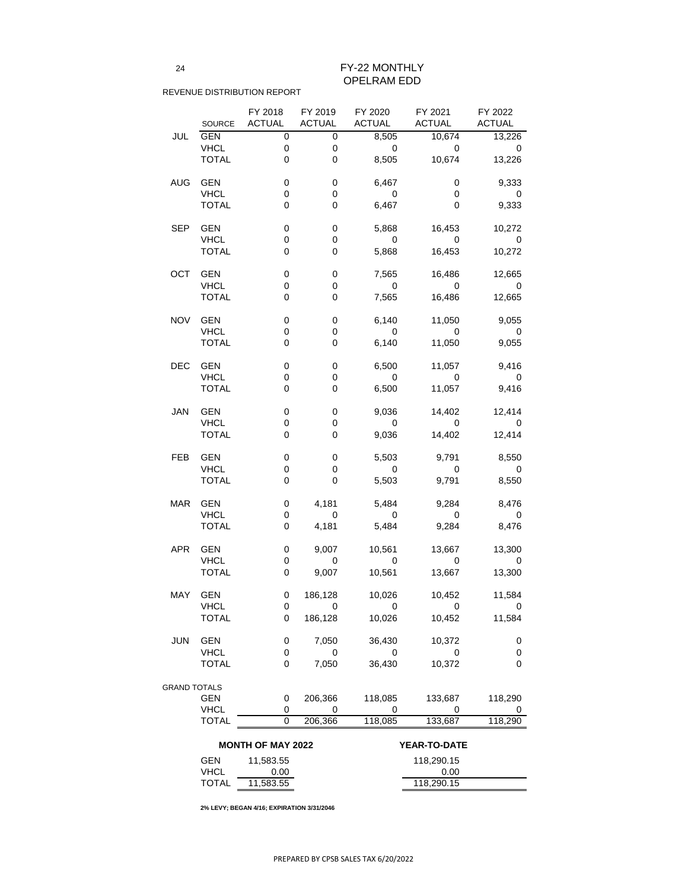24

## REVENUE DISTRIBUTION REPORT

|            |               | FY 2018        | FY 2019                  | FY 2020        | FY 2021        | FY 2022          |
|------------|---------------|----------------|--------------------------|----------------|----------------|------------------|
|            | <b>SOURCE</b> | <b>ACTUAL</b>  | <b>ACTUAL</b>            | <b>ACTUAL</b>  | <b>ACTUAL</b>  | <b>ACTUAL</b>    |
| JUL        | <b>GEN</b>    | 0              | 0                        | 8,505          | 10,674         | 13,226           |
|            | <b>VHCL</b>   | $\mathbf 0$    | 0                        | $\Omega$       | $\mathbf 0$    | 0                |
|            | <b>TOTAL</b>  | 0              | 0                        | 8,505          | 10,674         | 13,226           |
|            |               |                |                          |                |                |                  |
| <b>AUG</b> | <b>GEN</b>    | 0              | 0                        | 6,467          | 0              | 9,333            |
|            | <b>VHCL</b>   | 0              | $\mathbf 0$              | $\overline{0}$ | 0              | 0                |
|            | <b>TOTAL</b>  | 0              | 0                        | 6,467          | 0              | 9,333            |
|            |               |                |                          |                |                |                  |
| <b>SEP</b> | <b>GEN</b>    | 0              | 0                        | 5,868          | 16,453         | 10,272           |
|            | <b>VHCL</b>   | 0              | $\mathbf 0$              | $\Omega$       | $\Omega$       | 0                |
|            |               | 0              |                          |                |                |                  |
|            | <b>TOTAL</b>  |                | 0                        | 5,868          | 16,453         | 10,272           |
|            |               |                |                          |                |                |                  |
| OCT        | <b>GEN</b>    | 0              | 0                        | 7,565          | 16,486         | 12,665           |
|            | <b>VHCL</b>   | 0              | 0                        | $\Omega$       | $\Omega$       | $\mathbf 0$      |
|            | <b>TOTAL</b>  | 0              | 0                        | 7,565          | 16,486         | 12,665           |
|            |               |                |                          |                |                |                  |
| <b>NOV</b> | <b>GEN</b>    | 0              | 0                        | 6,140          | 11,050         | 9,055            |
|            | <b>VHCL</b>   | 0              | 0                        | $\mathbf 0$    | $\Omega$       | $\mathbf 0$      |
|            | <b>TOTAL</b>  | 0              | 0                        | 6,140          | 11,050         | 9,055            |
|            |               |                |                          |                |                |                  |
| <b>DEC</b> | <b>GEN</b>    | 0              | 0                        | 6,500          | 11,057         | 9,416            |
|            | <b>VHCL</b>   | 0              | 0                        | $\Omega$       | 0              | $\mathbf 0$      |
|            | <b>TOTAL</b>  | 0              | 0                        | 6,500          | 11,057         | 9,416            |
|            |               |                |                          |                |                |                  |
| <b>JAN</b> | <b>GEN</b>    | 0              | 0                        | 9,036          | 14,402         | 12,414           |
|            | <b>VHCL</b>   | 0              | 0                        | $\overline{0}$ | 0              | 0                |
|            | <b>TOTAL</b>  | 0              | 0                        | 9,036          | 14,402         | 12,414           |
|            |               |                |                          |                |                |                  |
| FEB        | <b>GEN</b>    | 0              | 0                        | 5,503          | 9,791          | 8,550            |
|            | <b>VHCL</b>   | 0              | 0                        | $\overline{0}$ | $\overline{0}$ | 0                |
|            | <b>TOTAL</b>  | $\overline{0}$ | 0                        | 5,503          | 9,791          | 8,550            |
|            |               |                |                          |                |                |                  |
| <b>MAR</b> | <b>GEN</b>    | 0              | 4,181                    | 5,484          | 9,284          | 8,476            |
|            | <b>VHCL</b>   | 0              | $\overline{\phantom{0}}$ | $\overline{0}$ | $\overline{0}$ | $\overline{0}$   |
|            | <b>TOTAL</b>  | 0              | 4,181                    | 5,484          | 9,284          | 8,476            |
|            |               |                |                          |                |                |                  |
| <b>APR</b> | <b>GEN</b>    | 0              | 9,007                    | 10,561         | 13,667         | 13,300           |
|            | <b>VHCL</b>   | 0              | $\mathbf 0$              | $\overline{0}$ | $\mathbf 0$    | 0                |
|            | <b>TOTAL</b>  | $\mathbf 0$    | 9,007                    | 10,561         | 13,667         | 13,300           |
|            |               |                |                          |                |                |                  |
| <b>MAY</b> | <b>GEN</b>    | 0              | 186,128                  | 10,026         | 10,452         | 11,584           |
|            | <b>VHCL</b>   | 0              | $\mathbf 0$              | $\overline{0}$ | $\mathbf 0$    | 0                |
|            | <b>TOTAL</b>  | 0              | 186,128                  | 10,026         | 10,452         | 11,584           |
|            |               |                |                          |                |                |                  |
| <b>JUN</b> | <b>GEN</b>    | 0              | 7,050                    | 36,430         | 10,372         | 0                |
|            | <b>VHCL</b>   | 0              | $\mathbf 0$              | $\overline{0}$ | $\mathbf 0$    | $\boldsymbol{0}$ |
|            | <b>TOTAL</b>  | 0              | 7,050                    | 36,430         | 10,372         | 0                |
|            |               |                |                          |                |                |                  |

| , IUIALS                 |           |         |                     |            |         |  |  |
|--------------------------|-----------|---------|---------------------|------------|---------|--|--|
| <b>GEN</b>               |           | 206,366 | 118,085             | 133,687    | 118,290 |  |  |
| <b>VHCL</b>              |           |         |                     |            |         |  |  |
| <b>TOTAL</b>             |           | 206,366 | 118,085             | 133,687    | 118,290 |  |  |
|                          |           |         |                     |            |         |  |  |
| <b>MONTH OF MAY 2022</b> |           |         | <b>YEAR-TO-DATE</b> |            |         |  |  |
| <b>GEN</b>               | 11,583.55 |         |                     | 118,290.15 |         |  |  |
|                          |           |         |                     |            |         |  |  |
| <b>VHCL</b>              | 0.00      |         |                     | 0.00       |         |  |  |
| <b>TOTAL</b>             | 11,583.55 |         |                     | 118,290.15 |         |  |  |

**2% LEVY; BEGAN 4/16; EXPIRATION 3/31/2046**

FY-22 MONTHLY OPELRAM EDD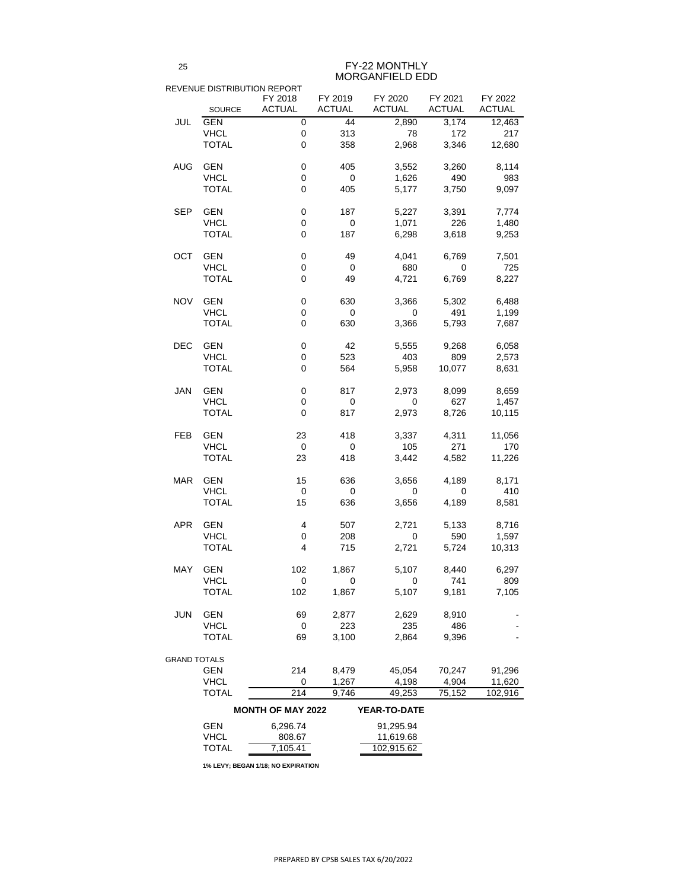|                     | REVENUE DISTRIBUTION REPORT |                          |                  |               |               |               |
|---------------------|-----------------------------|--------------------------|------------------|---------------|---------------|---------------|
|                     |                             | FY 2018                  | FY 2019          | FY 2020       | FY 2021       | FY 2022       |
|                     | <b>SOURCE</b>               | <b>ACTUAL</b>            | <b>ACTUAL</b>    | <b>ACTUAL</b> | <b>ACTUAL</b> | <b>ACTUAL</b> |
| <b>JUL</b>          | <b>GEN</b>                  | $\mathbf 0$              | 44               | 2,890         | 3,174         | 12,463        |
|                     | <b>VHCL</b>                 | $\boldsymbol{0}$         | 313              | 78            | 172           | 217           |
|                     | <b>TOTAL</b>                | $\mathbf 0$              | 358              | 2,968         | 3,346         | 12,680        |
| <b>AUG</b>          | <b>GEN</b>                  | $\boldsymbol{0}$         | 405              | 3,552         | 3,260         | 8,114         |
|                     | <b>VHCL</b>                 | $\boldsymbol{0}$         | $\mathbf 0$      | 1,626         | 490           | 983           |
|                     | <b>TOTAL</b>                | $\mathbf 0$              | 405              | 5,177         | 3,750         | 9,097         |
| <b>SEP</b>          | <b>GEN</b>                  | $\boldsymbol{0}$         | 187              | 5,227         | 3,391         | 7,774         |
|                     | <b>VHCL</b>                 | $\boldsymbol{0}$         | $\mathbf 0$      | 1,071         | 226           | 1,480         |
|                     | <b>TOTAL</b>                | $\mathbf 0$              | 187              | 6,298         | 3,618         | 9,253         |
| <b>OCT</b>          | <b>GEN</b>                  | $\pmb{0}$                | 49               | 4,041         | 6,769         | 7,501         |
|                     | <b>VHCL</b>                 | $\boldsymbol{0}$         | $\mathbf 0$      | 680           | 0             | 725           |
|                     | <b>TOTAL</b>                | $\mathbf 0$              | 49               | 4,721         | 6,769         | 8,227         |
| <b>NOV</b>          | <b>GEN</b>                  | $\pmb{0}$                | 630              | 3,366         | 5,302         | 6,488         |
|                     | <b>VHCL</b>                 | $\boldsymbol{0}$         | $\overline{0}$   | $\mathbf 0$   | 491           | 1,199         |
|                     | <b>TOTAL</b>                | $\overline{0}$           | 630              | 3,366         | 5,793         | 7,687         |
| <b>DEC</b>          | <b>GEN</b>                  | $\pmb{0}$                | 42               | 5,555         | 9,268         | 6,058         |
|                     | <b>VHCL</b>                 | $\boldsymbol{0}$         | 523              | 403           | 809           | 2,573         |
|                     | <b>TOTAL</b>                | $\overline{0}$           | 564              | 5,958         | 10,077        | 8,631         |
| <b>JAN</b>          | <b>GEN</b>                  | $\boldsymbol{0}$         | 817              | 2,973         | 8,099         | 8,659         |
|                     | <b>VHCL</b>                 | $\boldsymbol{0}$         | $\boldsymbol{0}$ | 0             | 627           | 1,457         |
|                     | <b>TOTAL</b>                | 0                        | 817              | 2,973         | 8,726         | 10,115        |
| <b>FEB</b>          | <b>GEN</b>                  | 23                       | 418              | 3,337         | 4,311         | 11,056        |
|                     | <b>VHCL</b>                 | $\overline{0}$           | $\overline{0}$   | 105           | 271           | 170           |
|                     | <b>TOTAL</b>                | 23                       | 418              | 3,442         | 4,582         | 11,226        |
| <b>MAR</b>          | <b>GEN</b>                  | 15                       | 636              | 3,656         | 4,189         | 8,171         |
|                     | <b>VHCL</b>                 | $\mathbf 0$              | $\mathbf 0$      | $\mathbf 0$   | $\mathbf 0$   | 410           |
|                     | <b>TOTAL</b>                | 15                       | 636              | 3,656         | 4,189         | 8,581         |
| <b>APR</b>          | <b>GEN</b>                  | 4                        | 507              | 2,721         | 5,133         | 8,716         |
|                     | <b>VHCL</b>                 | $\mathbf 0$              | 208              | $\mathbf 0$   | 590           | 1,597         |
|                     | <b>TOTAL</b>                | $\overline{\mathcal{A}}$ | 715              | 2,721         | 5,724         | 10,313        |
| <b>MAY</b>          | <b>GEN</b>                  | 102                      | 1,867            | 5,107         | 8,440         | 6,297         |
|                     | <b>VHCL</b>                 | $\mathbf 0$              | $\overline{0}$   | $\mathbf 0$   | 741           | 809           |
|                     | <b>TOTAL</b>                | 102                      | 1,867            | 5,107         | 9,181         | 7,105         |
| <b>JUN</b>          | <b>GEN</b>                  | 69                       | 2,877            | 2,629         | 8,910         |               |
|                     | <b>VHCL</b>                 | $\mathbf 0$              | 223              | 235           | 486           |               |
|                     | <b>TOTAL</b>                | 69                       | 3,100            | 2,864         | 9,396         |               |
| <b>GRAND TOTALS</b> |                             |                          |                  |               |               |               |
|                     | <b>GEN</b>                  | 214                      | 8,479            | 45,054        | 70,247        | 91,296        |

| VHCL         |                          | 1.267 | 4,198               | 4,904  | 11,620  |
|--------------|--------------------------|-------|---------------------|--------|---------|
| <b>TOTAL</b> | 214                      | 9.746 | 49,253              | 75,152 | 102,916 |
|              | <b>MONTH OF MAY 2022</b> |       | <b>YEAR-TO-DATE</b> |        |         |
| <b>GEN</b>   | 6,296.74                 |       | 91,295.94           |        |         |
| <b>VHCL</b>  | 808.67                   |       | 11,619.68           |        |         |
| <b>TOTAL</b> | 7,105.41                 |       | 102,915.62          |        |         |
|              |                          |       |                     |        |         |

**1% LEVY; BEGAN 1/18; NO EXPIRATION**

FY-22 MONTHLY MORGANFIELD EDD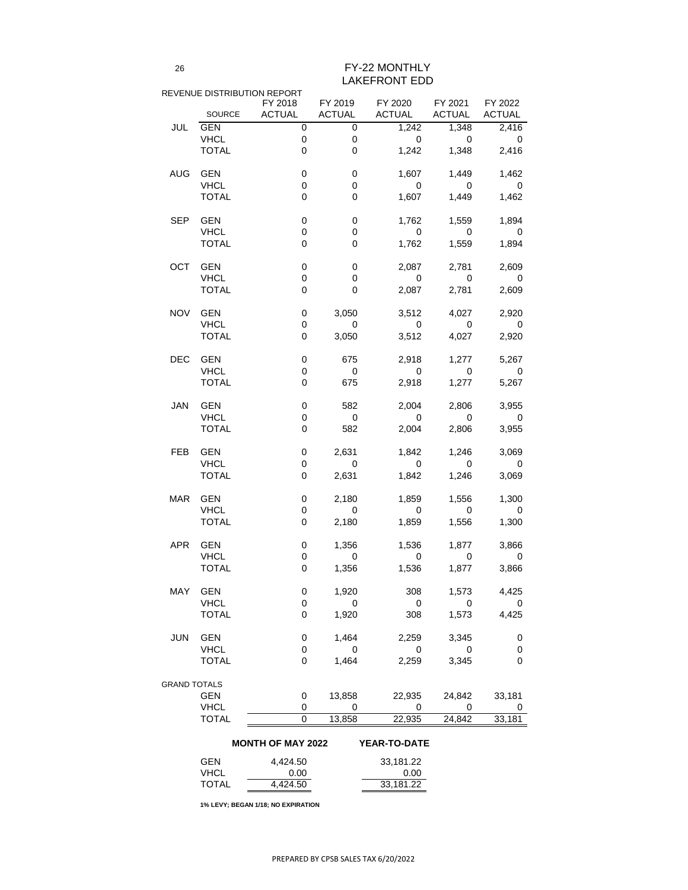|                          |                           | REVENUE DISTRIBUTION REPORT |                          |                                                                      |                          |                            |
|--------------------------|---------------------------|-----------------------------|--------------------------|----------------------------------------------------------------------|--------------------------|----------------------------|
|                          |                           | FY 2018                     |                          | FY 2019 FY 2020 FY 2021<br>SOURCE ACTUAL ACTUAL ACTUAL ACTUAL ACTUAL |                          | FY 2022                    |
| JUL                      | GEN                       | $\overline{0}$              | $\mathbf 0$              |                                                                      | $1,242$ $1,348$ $2,416$  |                            |
|                          | <b>VHCL</b>               | $\mathbf 0$                 | $\mathbf 0$              | $\overline{\phantom{0}}$                                             | $\overline{\phantom{0}}$ |                            |
|                          | <b>TOTAL</b>              | $\mathbf 0$                 | $\mathbf 0$              | 1,242                                                                |                          | 1,348 2,416                |
| <b>AUG</b>               | <b>GEN</b>                | $\mathbf 0$                 | $\mathbf 0$              | 1,607                                                                | 1,449                    | 1,462                      |
|                          | <b>VHCL</b>               | $\boldsymbol{0}$            | $\mathbf 0$              | $\overline{\mathbf{0}}$                                              | $\overline{\phantom{0}}$ | $\overline{\phantom{0}}$   |
|                          | <b>TOTAL</b>              | $\mathbf 0$                 | $\mathbf 0$              | 1,607                                                                | 1,449                    | 1,462                      |
| <b>SEP</b>               | <b>GEN</b>                | $\boldsymbol{0}$            | $\mathbf 0$              | 1,762                                                                | 1,559                    | 1,894                      |
|                          | <b>VHCL</b>               | $\boldsymbol{0}$            | $\mathbf 0$              | $\overline{\mathbf{0}}$                                              | $\overline{\phantom{0}}$ | $\overline{\phantom{0}}$ 0 |
|                          | <b>TOTAL</b>              | $\mathbf 0$                 | $\mathbf 0$              | 1,762                                                                | 1,559                    | 1,894                      |
| OCT                      | <b>GEN</b>                | $\boldsymbol{0}$            | $\mathbf 0$              | 2,087                                                                | 2,781                    | 2,609                      |
|                          | <b>VHCL</b>               | $\pmb{0}$                   | $\mathbf 0$              | $\overline{\phantom{0}}$                                             | $\overline{\phantom{0}}$ | $\overline{\phantom{0}}$ 0 |
|                          | <b>TOTAL</b>              | $\overline{0}$              | $\overline{0}$           | 2,087                                                                | 2,781                    | 2,609                      |
| <b>NOV</b>               | <b>GEN</b>                | $\mathbf 0$                 | 3,050                    |                                                                      | 3,512 4,027              | 2,920                      |
|                          | <b>VHCL</b>               | $\pmb{0}$                   | $\overline{\phantom{0}}$ | $\overline{\mathbf{0}}$                                              | $\overline{\phantom{0}}$ | $\overline{\phantom{0}}$   |
|                          | <b>TOTAL</b>              | $\overline{0}$              | 3,050                    | 3,512                                                                | 4,027                    | 2,920                      |
| <b>DEC</b>               | <b>GEN</b>                | $\mathbf 0$                 | 675                      |                                                                      | 2,918 1,277              | 5,267                      |
|                          | <b>VHCL</b>               | $\pmb{0}$                   | $\overline{\phantom{0}}$ | $\overline{\phantom{0}}$                                             | $\overline{\mathbf{0}}$  | $\overline{\phantom{0}}$   |
|                          | <b>TOTAL</b>              | $\mathbf 0$                 | 675                      | 2,918                                                                | 1,277                    | 5,267                      |
| <b>JAN</b>               | <b>GEN</b>                | $\mathbf 0$                 | 582                      |                                                                      | 2,004 2,806 3,955        |                            |
|                          | <b>VHCL</b>               | $\pmb{0}$                   | $\mathbf 0$              | $\overline{\phantom{0}}$                                             | $\overline{\mathbf{0}}$  | $\mathbf 0$                |
|                          | <b>TOTAL</b>              | 0                           | 582                      |                                                                      | 2,004 2,806              | 3,955                      |
| <b>FEB</b>               | <b>GEN</b>                | 0                           | 2,631                    | 1,842                                                                | 1,246                    | 3,069                      |
|                          | <b>VHCL</b>               | $\pmb{0}$                   | $\mathbf 0$              | $\overline{0}$                                                       | $\mathbf 0$              | $\mathbf 0$                |
|                          | <b>TOTAL</b>              | $\overline{0}$              | 2,631                    | 1,842                                                                | 1,246                    | 3,069                      |
| <b>MAR</b>               | <b>GEN</b>                | $\mathbf 0$                 | 2,180                    | 1,859                                                                | 1,556                    | 1,300                      |
|                          | <b>VHCL</b>               | $\pmb{0}$                   | $\mathbf 0$              | $\mathbf 0$                                                          | 0                        | 0                          |
|                          | <b>TOTAL</b>              | $\mathbf 0$                 | 2,180                    | 1,859                                                                | 1,556                    | 1,300                      |
| <b>APR</b>               | <b>GEN</b>                | $\mathbf 0$                 | 1,356                    | 1,536                                                                | 1,877                    | 3,866                      |
|                          | <b>VHCL</b>               | $\mathbf 0$                 | $\mathbf 0$              | $\mathbf 0$                                                          | $\mathbf 0$              | $\mathbf 0$                |
|                          | <b>TOTAL</b>              | $\mathbf 0$                 | 1,356                    | 1,536                                                                | 1,877                    | 3,866                      |
| <b>MAY</b>               | <b>GEN</b>                | 0                           | 1,920                    | 308                                                                  | 1,573                    | 4,425                      |
|                          | <b>VHCL</b>               | $\pmb{0}$                   | $\mathbf 0$              | $\overline{0}$                                                       | 0                        | 0                          |
|                          | <b>TOTAL</b>              | $\mathbf 0$                 | 1,920                    | 308                                                                  | 1,573                    | 4,425                      |
| <b>JUN</b>               | <b>GEN</b>                | 0                           | 1,464                    | 2,259                                                                | 3,345                    | 0                          |
|                          | <b>VHCL</b>               | $\pmb{0}$                   | 0                        | $\mathbf 0$                                                          | $\mathbf 0$              | $\mathbf 0$                |
|                          | <b>TOTAL</b>              | $\mathbf 0$                 | 1,464                    | 2,259                                                                | 3,345                    | $\overline{0}$             |
| <b>GRAND TOTALS</b>      |                           |                             |                          |                                                                      |                          |                            |
|                          | <b>GEN</b>                | 0                           | 13,858                   | 22,935                                                               | 24,842                   | 33,181                     |
|                          | <b>VHCL</b>               | $\mathbf 0$                 | 0                        | 0                                                                    | 0                        | $\boldsymbol{0}$           |
|                          | <b>TOTAL</b>              | $\overline{0}$              | 13,858                   | 22,935                                                               | 24,842                   | 33,181                     |
| <b>MONTH OF MAY 2022</b> |                           |                             |                          | <b>YEAR-TO-DATE</b>                                                  |                          |                            |
|                          |                           |                             |                          |                                                                      |                          |                            |
|                          | <b>GEN</b><br><b>VHCL</b> | 4,424.50                    |                          | 33,181.22                                                            |                          |                            |
|                          | <b>TOTAL</b>              | 0.00                        |                          | 0.00                                                                 |                          |                            |
|                          |                           | 4,424.50                    |                          | 33,181.22                                                            |                          |                            |

**1% LEVY; BEGAN 1/18; NO EXPIRATION**

FY-22 MONTHLY LAKEFRONT EDD